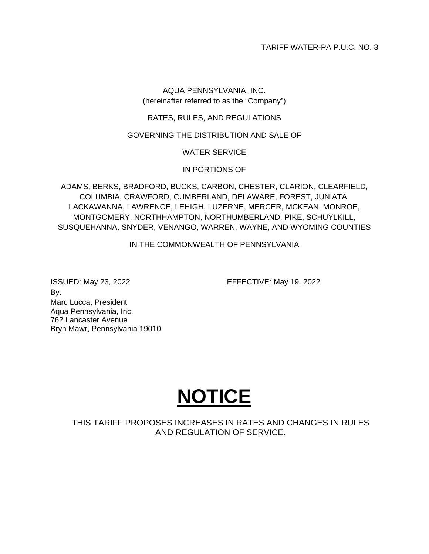TARIFF WATER-PA P.U.C. NO. 3

# AQUA PENNSYLVANIA, INC. (hereinafter referred to as the "Company")

# RATES, RULES, AND REGULATIONS

# GOVERNING THE DISTRIBUTION AND SALE OF

# WATER SERVICE

# IN PORTIONS OF

ADAMS, BERKS, BRADFORD, BUCKS, CARBON, CHESTER, CLARION, CLEARFIELD, COLUMBIA, CRAWFORD, CUMBERLAND, DELAWARE, FOREST, JUNIATA, LACKAWANNA, LAWRENCE, LEHIGH, LUZERNE, MERCER, MCKEAN, MONROE, MONTGOMERY, NORTHHAMPTON, NORTHUMBERLAND, PIKE, SCHUYLKILL, SUSQUEHANNA, SNYDER, VENANGO, WARREN, WAYNE, AND WYOMING COUNTIES

IN THE COMMONWEALTH OF PENNSYLVANIA

ISSUED: May 23, 2022 EFFECTIVE: May 19, 2022 By: Marc Lucca, President Aqua Pennsylvania, Inc. 762 Lancaster Avenue Bryn Mawr, Pennsylvania 19010



THIS TARIFF PROPOSES INCREASES IN RATES AND CHANGES IN RULES AND REGULATION OF SERVICE.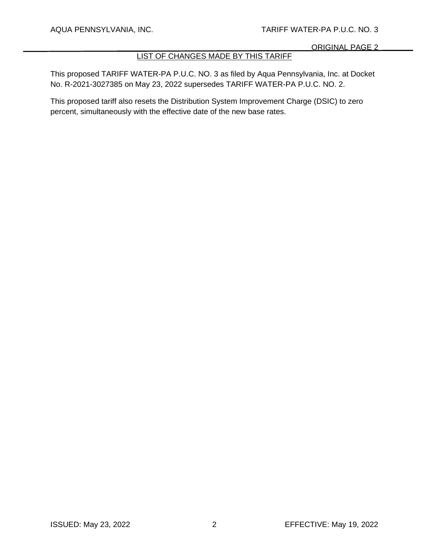# LIST OF CHANGES MADE BY THIS TARIFF

This proposed TARIFF WATER-PA P.U.C. NO. 3 as filed by Aqua Pennsylvania, Inc. at Docket No. R-2021-3027385 on May 23, 2022 supersedes TARIFF WATER-PA P.U.C. NO. 2.

This proposed tariff also resets the Distribution System Improvement Charge (DSIC) to zero percent, simultaneously with the effective date of the new base rates.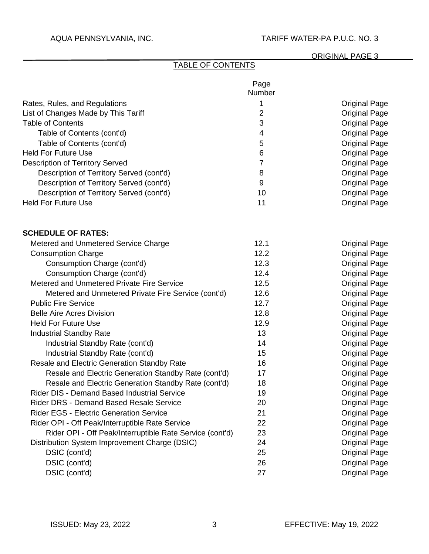# ORIGINAL PAGE 3

# TABLE OF CONTENTS

|                                                          | Page<br>Number |                      |
|----------------------------------------------------------|----------------|----------------------|
| Rates, Rules, and Regulations                            | 1              | <b>Original Page</b> |
| List of Changes Made by This Tariff                      | 2              | <b>Original Page</b> |
| <b>Table of Contents</b>                                 | 3              | <b>Original Page</b> |
| Table of Contents (cont'd)                               | 4              | <b>Original Page</b> |
| Table of Contents (cont'd)                               | 5              | <b>Original Page</b> |
| <b>Held For Future Use</b>                               | 6              | <b>Original Page</b> |
| <b>Description of Territory Served</b>                   | 7              | <b>Original Page</b> |
| Description of Territory Served (cont'd)                 | 8              | <b>Original Page</b> |
| Description of Territory Served (cont'd)                 | 9              | <b>Original Page</b> |
| Description of Territory Served (cont'd)                 | 10             | <b>Original Page</b> |
| <b>Held For Future Use</b>                               | 11             | <b>Original Page</b> |
| <b>SCHEDULE OF RATES:</b>                                |                |                      |
| Metered and Unmetered Service Charge                     | 12.1           | <b>Original Page</b> |
| <b>Consumption Charge</b>                                | 12.2           | <b>Original Page</b> |
| Consumption Charge (cont'd)                              | 12.3           | <b>Original Page</b> |
| Consumption Charge (cont'd)                              | 12.4           | <b>Original Page</b> |
| Metered and Unmetered Private Fire Service               | 12.5           | <b>Original Page</b> |
| Metered and Unmetered Private Fire Service (cont'd)      | 12.6           | <b>Original Page</b> |
| <b>Public Fire Service</b>                               | 12.7           | <b>Original Page</b> |
| <b>Belle Aire Acres Division</b>                         | 12.8           | <b>Original Page</b> |
| <b>Held For Future Use</b>                               | 12.9           | <b>Original Page</b> |
| <b>Industrial Standby Rate</b>                           | 13             | <b>Original Page</b> |
| Industrial Standby Rate (cont'd)                         | 14             | <b>Original Page</b> |
| Industrial Standby Rate (cont'd)                         | 15             | <b>Original Page</b> |
| Resale and Electric Generation Standby Rate              | 16             | <b>Original Page</b> |
| Resale and Electric Generation Standby Rate (cont'd)     | 17             | <b>Original Page</b> |
| Resale and Electric Generation Standby Rate (cont'd)     | 18             | <b>Original Page</b> |
| Rider DIS - Demand Based Industrial Service              | 19             | <b>Original Page</b> |
| <b>Rider DRS - Demand Based Resale Service</b>           | 20             | <b>Original Page</b> |
| <b>Rider EGS - Electric Generation Service</b>           | 21             | <b>Original Page</b> |
| Rider OPI - Off Peak/Interruptible Rate Service          | 22             | <b>Original Page</b> |
| Rider OPI - Off Peak/Interruptible Rate Service (cont'd) | 23             | <b>Original Page</b> |
| Distribution System Improvement Charge (DSIC)            | 24             | <b>Original Page</b> |
| DSIC (cont'd)                                            | 25             | <b>Original Page</b> |
| DSIC (cont'd)                                            | 26             | <b>Original Page</b> |
| DSIC (cont'd)                                            | 27             | <b>Original Page</b> |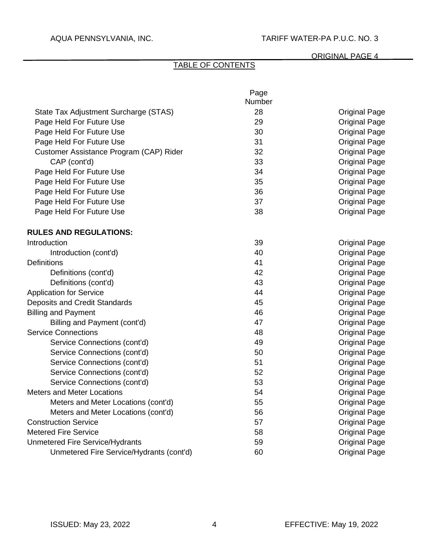# ORIGINAL PAGE 4

# TABLE OF CONTENTS

|                                          | Page   |                      |
|------------------------------------------|--------|----------------------|
|                                          | Number |                      |
| State Tax Adjustment Surcharge (STAS)    | 28     | <b>Original Page</b> |
| Page Held For Future Use                 | 29     | <b>Original Page</b> |
| Page Held For Future Use                 | 30     | <b>Original Page</b> |
| Page Held For Future Use                 | 31     | <b>Original Page</b> |
| Customer Assistance Program (CAP) Rider  | 32     | <b>Original Page</b> |
| CAP (cont'd)                             | 33     | <b>Original Page</b> |
| Page Held For Future Use                 | 34     | <b>Original Page</b> |
| Page Held For Future Use                 | 35     | <b>Original Page</b> |
| Page Held For Future Use                 | 36     | <b>Original Page</b> |
| Page Held For Future Use                 | 37     | <b>Original Page</b> |
| Page Held For Future Use                 | 38     | <b>Original Page</b> |
| <b>RULES AND REGULATIONS:</b>            |        |                      |
| Introduction                             | 39     | <b>Original Page</b> |
| Introduction (cont'd)                    | 40     | <b>Original Page</b> |
| <b>Definitions</b>                       | 41     | <b>Original Page</b> |
| Definitions (cont'd)                     | 42     | <b>Original Page</b> |
| Definitions (cont'd)                     | 43     | <b>Original Page</b> |
| <b>Application for Service</b>           | 44     | <b>Original Page</b> |
| Deposits and Credit Standards            | 45     | <b>Original Page</b> |
| <b>Billing and Payment</b>               | 46     | <b>Original Page</b> |
| Billing and Payment (cont'd)             | 47     | <b>Original Page</b> |
| <b>Service Connections</b>               | 48     | <b>Original Page</b> |
| Service Connections (cont'd)             | 49     | <b>Original Page</b> |
| Service Connections (cont'd)             | 50     | <b>Original Page</b> |
| Service Connections (cont'd)             | 51     | <b>Original Page</b> |
| Service Connections (cont'd)             | 52     | <b>Original Page</b> |
| Service Connections (cont'd)             | 53     | <b>Original Page</b> |
| <b>Meters and Meter Locations</b>        | 54     | <b>Original Page</b> |
| Meters and Meter Locations (cont'd)      | 55     | <b>Original Page</b> |
| Meters and Meter Locations (cont'd)      | 56     | <b>Original Page</b> |
| <b>Construction Service</b>              | 57     | <b>Original Page</b> |
| <b>Metered Fire Service</b>              | 58     | <b>Original Page</b> |
| <b>Unmetered Fire Service/Hydrants</b>   | 59     | <b>Original Page</b> |
| Unmetered Fire Service/Hydrants (cont'd) | 60     | Original Page        |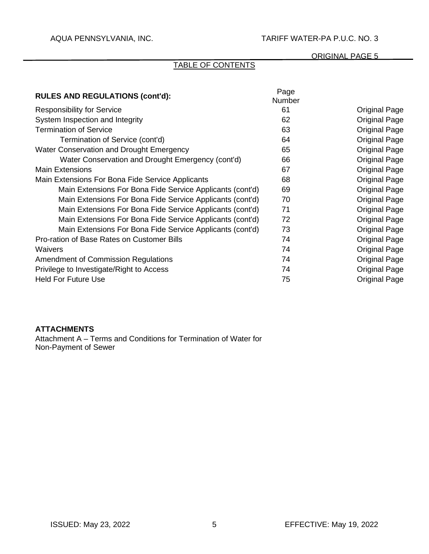### ORIGINAL PAGE 5

# TABLE OF CONTENTS

| <b>RULES AND REGULATIONS (cont'd):</b>                    | Page<br><b>Number</b> |                      |
|-----------------------------------------------------------|-----------------------|----------------------|
| <b>Responsibility for Service</b>                         | 61                    | <b>Original Page</b> |
| System Inspection and Integrity                           | 62                    | Original Page        |
| <b>Termination of Service</b>                             | 63                    | <b>Original Page</b> |
| Termination of Service (cont'd)                           | 64                    | Original Page        |
| Water Conservation and Drought Emergency                  | 65                    | Original Page        |
| Water Conservation and Drought Emergency (cont'd)         | 66                    | <b>Original Page</b> |
| <b>Main Extensions</b>                                    | 67                    | <b>Original Page</b> |
| Main Extensions For Bona Fide Service Applicants          | 68                    | <b>Original Page</b> |
| Main Extensions For Bona Fide Service Applicants (cont'd) | 69                    | Original Page        |
| Main Extensions For Bona Fide Service Applicants (cont'd) | 70                    | <b>Original Page</b> |
| Main Extensions For Bona Fide Service Applicants (cont'd) | 71                    | <b>Original Page</b> |
| Main Extensions For Bona Fide Service Applicants (cont'd) | 72                    | Original Page        |
| Main Extensions For Bona Fide Service Applicants (cont'd) | 73                    | <b>Original Page</b> |
| Pro-ration of Base Rates on Customer Bills                | 74                    | <b>Original Page</b> |
| <b>Waivers</b>                                            | 74                    | <b>Original Page</b> |
| <b>Amendment of Commission Regulations</b>                | 74                    | <b>Original Page</b> |
| Privilege to Investigate/Right to Access                  | 74                    | <b>Original Page</b> |
| <b>Held For Future Use</b>                                | 75                    | <b>Original Page</b> |

## **ATTACHMENTS**

Attachment A – Terms and Conditions for Termination of Water for Non-Payment of Sewer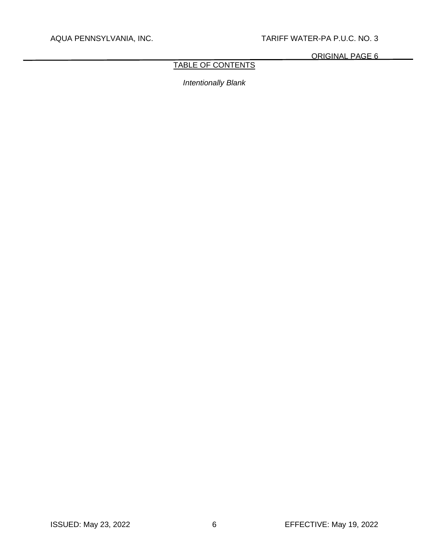ORIGINAL PAGE 6

# TABLE OF CONTENTS

*Intentionally Blank*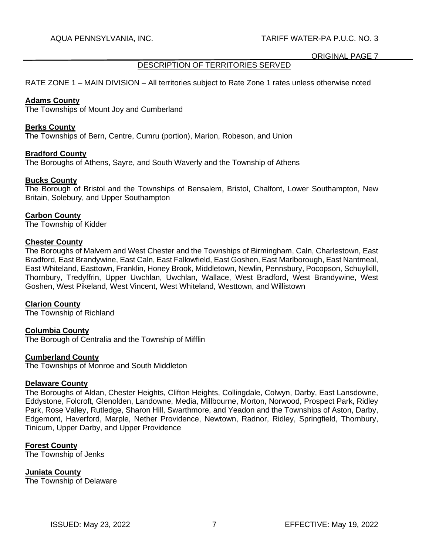# DESCRIPTION OF TERRITORIES SERVED

RATE ZONE 1 – MAIN DIVISION – All territories subject to Rate Zone 1 rates unless otherwise noted

### **Adams County**

The Townships of Mount Joy and Cumberland

### **Berks County**

The Townships of Bern, Centre, Cumru (portion), Marion, Robeson, and Union

### **Bradford County**

The Boroughs of Athens, Sayre, and South Waverly and the Township of Athens

### **Bucks County**

The Borough of Bristol and the Townships of Bensalem, Bristol, Chalfont, Lower Southampton, New Britain, Solebury, and Upper Southampton

# **Carbon County**

The Township of Kidder

### **Chester County**

The Boroughs of Malvern and West Chester and the Townships of Birmingham, Caln, Charlestown, East Bradford, East Brandywine, East Caln, East Fallowfield, East Goshen, East Marlborough, East Nantmeal, East Whiteland, Easttown, Franklin, Honey Brook, Middletown, Newlin, Pennsbury, Pocopson, Schuylkill, Thornbury, Tredyffrin, Upper Uwchlan, Uwchlan, Wallace, West Bradford, West Brandywine, West Goshen, West Pikeland, West Vincent, West Whiteland, Westtown, and Willistown

### **Clarion County**

The Township of Richland

# **Columbia County**

The Borough of Centralia and the Township of Mifflin

### **Cumberland County**

The Townships of Monroe and South Middleton

### **Delaware County**

The Boroughs of Aldan, Chester Heights, Clifton Heights, Collingdale, Colwyn, Darby, East Lansdowne, Eddystone, Folcroft, Glenolden, Landowne, Media, Millbourne, Morton, Norwood, Prospect Park, Ridley Park, Rose Valley, Rutledge, Sharon Hill, Swarthmore, and Yeadon and the Townships of Aston, Darby, Edgemont, Haverford, Marple, Nether Providence, Newtown, Radnor, Ridley, Springfield, Thornbury, Tinicum, Upper Darby, and Upper Providence

# **Forest County**

The Township of Jenks

### **Juniata County**

The Township of Delaware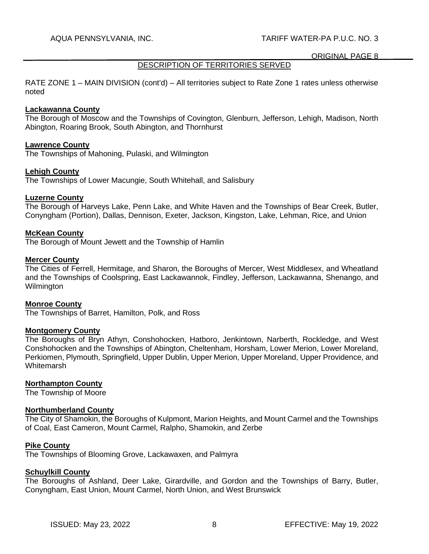## DESCRIPTION OF TERRITORIES SERVED

RATE ZONE 1 – MAIN DIVISION (cont'd) – All territories subject to Rate Zone 1 rates unless otherwise noted

#### **Lackawanna County**

The Borough of Moscow and the Townships of Covington, Glenburn, Jefferson, Lehigh, Madison, North Abington, Roaring Brook, South Abington, and Thornhurst

#### **Lawrence County**

The Townships of Mahoning, Pulaski, and Wilmington

### **Lehigh County**

The Townships of Lower Macungie, South Whitehall, and Salisbury

### **Luzerne County**

The Borough of Harveys Lake, Penn Lake, and White Haven and the Townships of Bear Creek, Butler, Conyngham (Portion), Dallas, Dennison, Exeter, Jackson, Kingston, Lake, Lehman, Rice, and Union

### **McKean County**

The Borough of Mount Jewett and the Township of Hamlin

#### **Mercer County**

The Cities of Ferrell, Hermitage, and Sharon, the Boroughs of Mercer, West Middlesex, and Wheatland and the Townships of Coolspring, East Lackawannok, Findley, Jefferson, Lackawanna, Shenango, and **Wilmington** 

### **Monroe County**

The Townships of Barret, Hamilton, Polk, and Ross

### **Montgomery County**

The Boroughs of Bryn Athyn, Conshohocken, Hatboro, Jenkintown, Narberth, Rockledge, and West Conshohocken and the Townships of Abington, Cheltenham, Horsham, Lower Merion, Lower Moreland, Perkiomen, Plymouth, Springfield, Upper Dublin, Upper Merion, Upper Moreland, Upper Providence, and **Whitemarsh** 

### **Northampton County**

The Township of Moore

# **Northumberland County**

The City of Shamokin, the Boroughs of Kulpmont, Marion Heights, and Mount Carmel and the Townships of Coal, East Cameron, Mount Carmel, Ralpho, Shamokin, and Zerbe

#### **Pike County**

The Townships of Blooming Grove, Lackawaxen, and Palmyra

### **Schuylkill County**

The Boroughs of Ashland, Deer Lake, Girardville, and Gordon and the Townships of Barry, Butler, Conyngham, East Union, Mount Carmel, North Union, and West Brunswick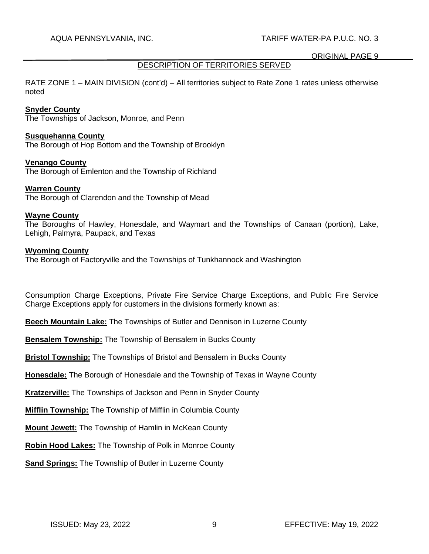# DESCRIPTION OF TERRITORIES SERVED

RATE ZONE 1 – MAIN DIVISION (cont'd) – All territories subject to Rate Zone 1 rates unless otherwise noted

### **Snyder County**

The Townships of Jackson, Monroe, and Penn

#### **Susquehanna County**

The Borough of Hop Bottom and the Township of Brooklyn

#### **Venango County**

The Borough of Emlenton and the Township of Richland

#### **Warren County**

The Borough of Clarendon and the Township of Mead

#### **Wayne County**

The Boroughs of Hawley, Honesdale, and Waymart and the Townships of Canaan (portion), Lake, Lehigh, Palmyra, Paupack, and Texas

#### **Wyoming County**

The Borough of Factoryville and the Townships of Tunkhannock and Washington

Consumption Charge Exceptions, Private Fire Service Charge Exceptions, and Public Fire Service Charge Exceptions apply for customers in the divisions formerly known as:

**Beech Mountain Lake:** The Townships of Butler and Dennison in Luzerne County

**Bensalem Township:** The Township of Bensalem in Bucks County

**Bristol Township:** The Townships of Bristol and Bensalem in Bucks County

**Honesdale:** The Borough of Honesdale and the Township of Texas in Wayne County

**Kratzerville:** The Townships of Jackson and Penn in Snyder County

**Mifflin Township:** The Township of Mifflin in Columbia County

**Mount Jewett:** The Township of Hamlin in McKean County

**Robin Hood Lakes:** The Township of Polk in Monroe County

**Sand Springs:** The Township of Butler in Luzerne County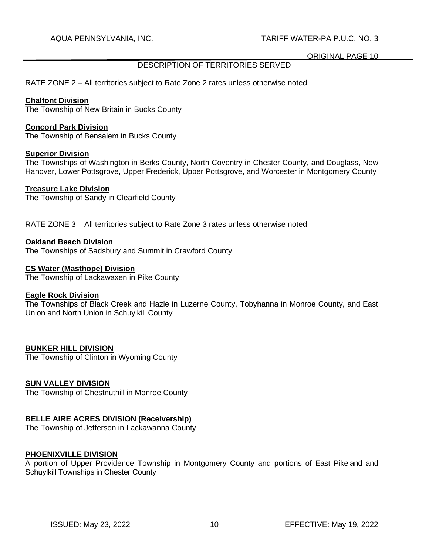# DESCRIPTION OF TERRITORIES SERVED

RATE ZONE 2 – All territories subject to Rate Zone 2 rates unless otherwise noted

### **Chalfont Division**

The Township of New Britain in Bucks County

### **Concord Park Division**

The Township of Bensalem in Bucks County

### **Superior Division**

The Townships of Washington in Berks County, North Coventry in Chester County, and Douglass, New Hanover, Lower Pottsgrove, Upper Frederick, Upper Pottsgrove, and Worcester in Montgomery County

### **Treasure Lake Division**

The Township of Sandy in Clearfield County

RATE ZONE 3 – All territories subject to Rate Zone 3 rates unless otherwise noted

### **Oakland Beach Division**

The Townships of Sadsbury and Summit in Crawford County

### **CS Water (Masthope) Division**

The Township of Lackawaxen in Pike County

### **Eagle Rock Division**

The Townships of Black Creek and Hazle in Luzerne County, Tobyhanna in Monroe County, and East Union and North Union in Schuylkill County

# **BUNKER HILL DIVISION**

The Township of Clinton in Wyoming County

# **SUN VALLEY DIVISION**

The Township of Chestnuthill in Monroe County

# **BELLE AIRE ACRES DIVISION (Receivership)**

The Township of Jefferson in Lackawanna County

### **PHOENIXVILLE DIVISION**

A portion of Upper Providence Township in Montgomery County and portions of East Pikeland and Schuylkill Townships in Chester County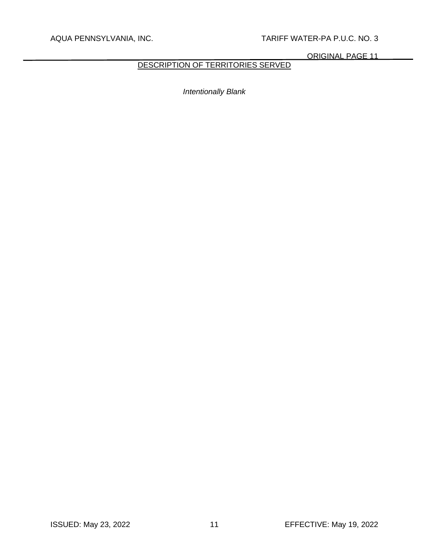ORIGINAL PAGE 11

# DESCRIPTION OF TERRITORIES SERVED

*Intentionally Blank*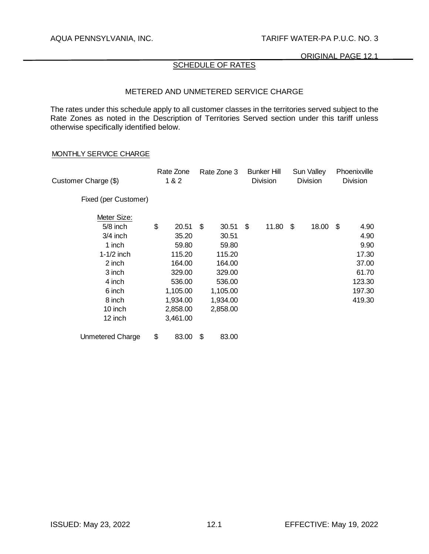ORIGINAL PAGE 12.1

# SCHEDULE OF RATES

### METERED AND UNMETERED SERVICE CHARGE

The rates under this schedule apply to all customer classes in the territories served subject to the Rate Zones as noted in the Description of Territories Served section under this tariff unless otherwise specifically identified below.

#### MONTHLY SERVICE CHARGE

| Customer Charge (\$)    | Rate Zone<br>1 & 2 | Rate Zone 3 | <b>Bunker Hill</b><br><b>Division</b> | Sun Valley<br><b>Division</b> | Phoenixville<br><b>Division</b> |
|-------------------------|--------------------|-------------|---------------------------------------|-------------------------------|---------------------------------|
| Fixed (per Customer)    |                    |             |                                       |                               |                                 |
| Meter Size:             |                    |             |                                       |                               |                                 |
| 5/8 inch                | \$<br>20.51        | \$<br>30.51 | \$<br>11.80                           | \$<br>18.00                   | \$<br>4.90                      |
| $3/4$ inch              | 35.20              | 30.51       |                                       |                               | 4.90                            |
| 1 inch                  | 59.80              | 59.80       |                                       |                               | 9.90                            |
| $1-1/2$ inch            | 115.20             | 115.20      |                                       |                               | 17.30                           |
| 2 inch                  | 164.00             | 164.00      |                                       |                               | 37.00                           |
| 3 inch                  | 329.00             | 329.00      |                                       |                               | 61.70                           |
| 4 inch                  | 536.00             | 536.00      |                                       |                               | 123.30                          |
| 6 inch                  | 1,105.00           | 1,105.00    |                                       |                               | 197.30                          |
| 8 inch                  | 1,934.00           | 1,934.00    |                                       |                               | 419.30                          |
| 10 inch                 | 2,858.00           | 2,858.00    |                                       |                               |                                 |
| 12 inch                 | 3,461.00           |             |                                       |                               |                                 |
| <b>Unmetered Charge</b> | \$<br>83.00        | \$<br>83.00 |                                       |                               |                                 |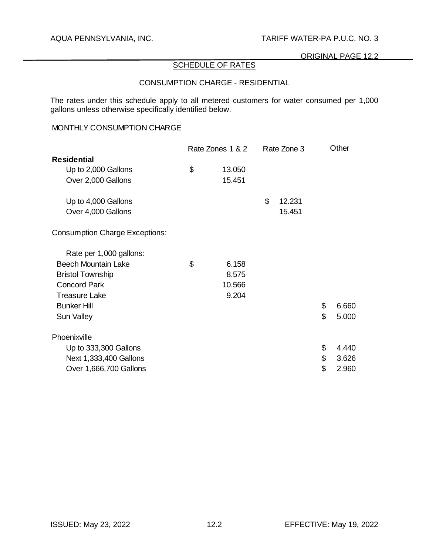# SCHEDULE OF RATES

# CONSUMPTION CHARGE - RESIDENTIAL

The rates under this schedule apply to all metered customers for water consumed per 1,000 gallons unless otherwise specifically identified below.

### MONTHLY CONSUMPTION CHARGE

|                                       | Rate Zones 1 & 2 |                           | Rate Zone 3 | Other       |
|---------------------------------------|------------------|---------------------------|-------------|-------------|
| <b>Residential</b>                    |                  |                           |             |             |
| Up to 2,000 Gallons                   | \$<br>13.050     |                           |             |             |
| Over 2,000 Gallons                    | 15.451           |                           |             |             |
| Up to 4,000 Gallons                   |                  | $\boldsymbol{\mathsf{S}}$ | 12.231      |             |
| Over 4,000 Gallons                    |                  |                           | 15.451      |             |
| <b>Consumption Charge Exceptions:</b> |                  |                           |             |             |
| Rate per 1,000 gallons:               |                  |                           |             |             |
| <b>Beech Mountain Lake</b>            | \$<br>6.158      |                           |             |             |
| <b>Bristol Township</b>               | 8.575            |                           |             |             |
| <b>Concord Park</b>                   | 10.566           |                           |             |             |
| <b>Treasure Lake</b>                  | 9.204            |                           |             |             |
| <b>Bunker Hill</b>                    |                  |                           |             | \$<br>6.660 |
| Sun Valley                            |                  |                           |             | \$<br>5.000 |
| Phoenixville                          |                  |                           |             |             |
| Up to 333,300 Gallons                 |                  |                           |             | \$<br>4.440 |
| Next 1,333,400 Gallons                |                  |                           |             | \$<br>3.626 |
| Over 1,666,700 Gallons                |                  |                           |             | \$<br>2.960 |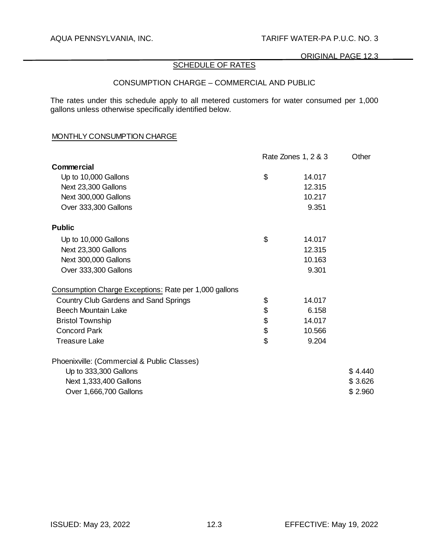#### ORIGINAL PAGE 12.3

# SCHEDULE OF RATES

### CONSUMPTION CHARGE – COMMERCIAL AND PUBLIC

The rates under this schedule apply to all metered customers for water consumed per 1,000 gallons unless otherwise specifically identified below.

# MONTHLY CONSUMPTION CHARGE

|                                                       | Rate Zones 1, 2 & 3 | Other   |
|-------------------------------------------------------|---------------------|---------|
| <b>Commercial</b>                                     |                     |         |
| Up to 10,000 Gallons                                  | \$<br>14.017        |         |
| Next 23,300 Gallons                                   | 12.315              |         |
| Next 300,000 Gallons                                  | 10.217              |         |
| Over 333,300 Gallons                                  | 9.351               |         |
| <b>Public</b>                                         |                     |         |
| Up to 10,000 Gallons                                  | \$<br>14.017        |         |
| Next 23,300 Gallons                                   | 12.315              |         |
| Next 300,000 Gallons                                  | 10.163              |         |
| Over 333,300 Gallons                                  | 9.301               |         |
| Consumption Charge Exceptions: Rate per 1,000 gallons |                     |         |
| Country Club Gardens and Sand Springs                 | \$<br>14.017        |         |
| <b>Beech Mountain Lake</b>                            | \$<br>6.158         |         |
| <b>Bristol Township</b>                               | \$<br>14.017        |         |
| <b>Concord Park</b>                                   | \$<br>10.566        |         |
| <b>Treasure Lake</b>                                  | \$<br>9.204         |         |
| Phoenixville: (Commercial & Public Classes)           |                     |         |
| Up to 333,300 Gallons                                 |                     | \$4.440 |
| Next 1,333,400 Gallons                                |                     | \$3.626 |
| Over 1,666,700 Gallons                                |                     | \$2.960 |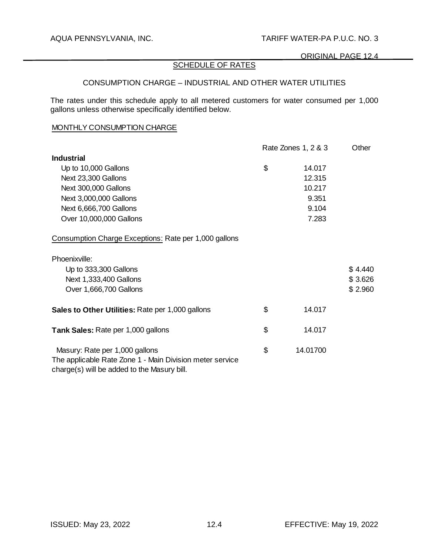# SCHEDULE OF RATES

## CONSUMPTION CHARGE – INDUSTRIAL AND OTHER WATER UTILITIES

The rates under this schedule apply to all metered customers for water consumed per 1,000 gallons unless otherwise specifically identified below.

## MONTHLY CONSUMPTION CHARGE

|                                                                                                         | Rate Zones 1, 2 & 3 | Other   |
|---------------------------------------------------------------------------------------------------------|---------------------|---------|
| <b>Industrial</b>                                                                                       |                     |         |
| Up to 10,000 Gallons                                                                                    | \$<br>14.017        |         |
| Next 23,300 Gallons                                                                                     | 12.315              |         |
| Next 300,000 Gallons                                                                                    | 10.217              |         |
| Next 3,000,000 Gallons                                                                                  | 9.351               |         |
| Next 6,666,700 Gallons                                                                                  | 9.104               |         |
| Over 10,000,000 Gallons                                                                                 | 7.283               |         |
| Consumption Charge Exceptions: Rate per 1,000 gallons                                                   |                     |         |
| Phoenixville:                                                                                           |                     |         |
| Up to 333,300 Gallons                                                                                   |                     | \$4.440 |
| Next 1,333,400 Gallons                                                                                  |                     | \$3.626 |
| Over 1,666,700 Gallons                                                                                  |                     | \$2.960 |
| Sales to Other Utilities: Rate per 1,000 gallons                                                        | \$<br>14.017        |         |
| <b>Tank Sales: Rate per 1,000 gallons</b>                                                               | \$<br>14.017        |         |
| Masury: Rate per 1,000 gallons                                                                          | \$<br>14.01700      |         |
| The applicable Rate Zone 1 - Main Division meter service<br>charge(s) will be added to the Masury bill. |                     |         |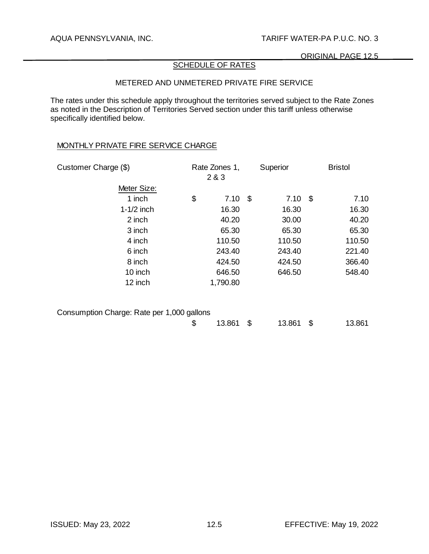# SCHEDULE OF RATES

# METERED AND UNMETERED PRIVATE FIRE SERVICE

The rates under this schedule apply throughout the territories served subject to the Rate Zones as noted in the Description of Territories Served section under this tariff unless otherwise specifically identified below.

### MONTHLY PRIVATE FIRE SERVICE CHARGE

| Customer Charge (\$)                       | Rate Zones 1,<br>2 & 3 | Superior     |                           | <b>Bristol</b> |
|--------------------------------------------|------------------------|--------------|---------------------------|----------------|
| Meter Size:                                |                        |              |                           |                |
| 1 inch                                     | \$<br>7.10             | \$<br>7.10   | $\boldsymbol{\mathsf{S}}$ | 7.10           |
| $1-1/2$ inch                               | 16.30                  | 16.30        |                           | 16.30          |
| 2 inch                                     | 40.20                  | 30.00        |                           | 40.20          |
| 3 inch                                     | 65.30                  | 65.30        |                           | 65.30          |
| 4 inch                                     | 110.50                 | 110.50       |                           | 110.50         |
| 6 inch                                     | 243.40                 | 243.40       |                           | 221.40         |
| 8 inch                                     | 424.50                 | 424.50       |                           | 366.40         |
| 10 inch                                    | 646.50                 | 646.50       |                           | 548.40         |
| 12 inch                                    | 1,790.80               |              |                           |                |
|                                            |                        |              |                           |                |
| Consumption Charge: Rate per 1,000 gallons | \$<br>13.861           | \$<br>13.861 | \$                        | 13.861         |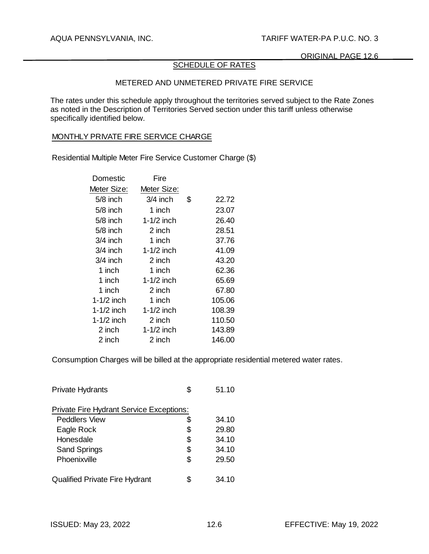# SCHEDULE OF RATES

# METERED AND UNMETERED PRIVATE FIRE SERVICE

The rates under this schedule apply throughout the territories served subject to the Rate Zones as noted in the Description of Territories Served section under this tariff unless otherwise specifically identified below.

#### MONTHLY PRIVATE FIRE SERVICE CHARGE

Residential Multiple Meter Fire Service Customer Charge (\$)

| Domestic     | Fire         |             |
|--------------|--------------|-------------|
| Meter Size:  | Meter Size:  |             |
| $5/8$ inch   | $3/4$ inch   | \$<br>22.72 |
| $5/8$ inch   | 1 inch       | 23.07       |
| $5/8$ inch   | $1-1/2$ inch | 26.40       |
| $5/8$ inch   | 2 inch       | 28.51       |
| $3/4$ inch   | 1 inch       | 37.76       |
| $3/4$ inch   | $1-1/2$ inch | 41.09       |
| 3/4 inch     | 2 inch       | 43.20       |
| 1 inch       | 1 inch       | 62.36       |
| 1 inch       | $1-1/2$ inch | 65.69       |
| 1 inch       | 2 inch       | 67.80       |
| 1-1/2 inch   | 1 inch       | 105.06      |
| 1-1/2 inch   | $1-1/2$ inch | 108.39      |
| $1-1/2$ inch | 2 inch       | 110.50      |
| 2 inch       | $1-1/2$ inch | 143.89      |
| 2 inch       | 2 inch       | 146.00      |

Consumption Charges will be billed at the appropriate residential metered water rates.

| <b>Private Hydrants</b>                         |    | 51.10 |
|-------------------------------------------------|----|-------|
| <b>Private Fire Hydrant Service Exceptions:</b> |    |       |
| <b>Peddlers View</b>                            | S  | 34.10 |
| Eagle Rock                                      | \$ | 29.80 |
| Honesdale                                       | \$ | 34.10 |
| <b>Sand Springs</b>                             | \$ | 34.10 |
| Phoenixville                                    | S  | 29.50 |
| <b>Qualified Private Fire Hydrant</b>           |    | 34.10 |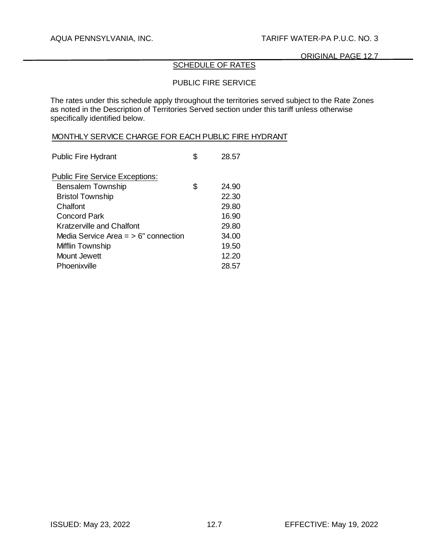# SCHEDULE OF RATES

# PUBLIC FIRE SERVICE

The rates under this schedule apply throughout the territories served subject to the Rate Zones as noted in the Description of Territories Served section under this tariff unless otherwise specifically identified below.

### MONTHLY SERVICE CHARGE FOR EACH PUBLIC FIRE HYDRANT

| <b>Public Fire Hydrant</b>             |   | 28.57 |
|----------------------------------------|---|-------|
| <b>Public Fire Service Exceptions:</b> |   |       |
| <b>Bensalem Township</b>               | S | 24.90 |
| <b>Bristol Township</b>                |   | 22.30 |
| Chalfont                               |   | 29.80 |
| <b>Concord Park</b>                    |   | 16.90 |
| <b>Kratzerville and Chalfont</b>       |   | 29.80 |
| Media Service Area $=$ > 6" connection |   | 34.00 |
| Mifflin Township                       |   | 19.50 |
| Mount Jewett                           |   | 12.20 |
| Phoenixville                           |   | 28.57 |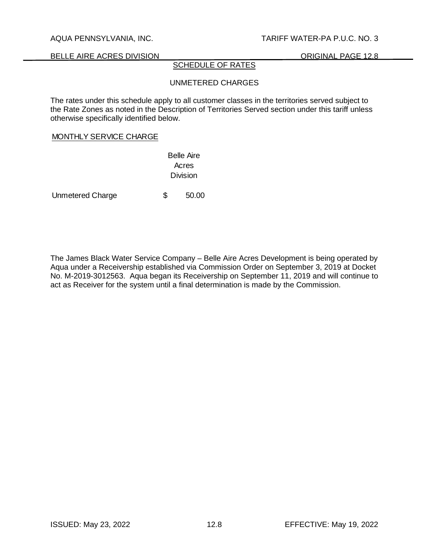BELLE AIRE ACRES DIVISION **EXECUTE AIRE ACRES DIVISION** 

### SCHEDULE OF RATES

# UNMETERED CHARGES

The rates under this schedule apply to all customer classes in the territories served subject to the Rate Zones as noted in the Description of Territories Served section under this tariff unless otherwise specifically identified below.

#### MONTHLY SERVICE CHARGE

Belle Aire Acres Division

Unmetered Charge  $$50.00$ 

The James Black Water Service Company – Belle Aire Acres Development is being operated by Aqua under a Receivership established via Commission Order on September 3, 2019 at Docket No. M-2019-3012563. Aqua began its Receivership on September 11, 2019 and will continue to act as Receiver for the system until a final determination is made by the Commission.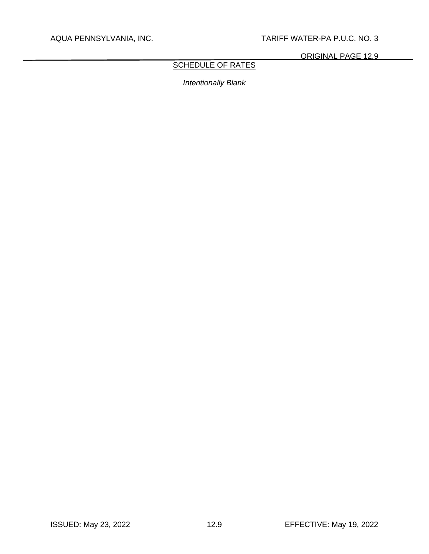ORIGINAL PAGE 12.9

# SCHEDULE OF RATES

*Intentionally Blank*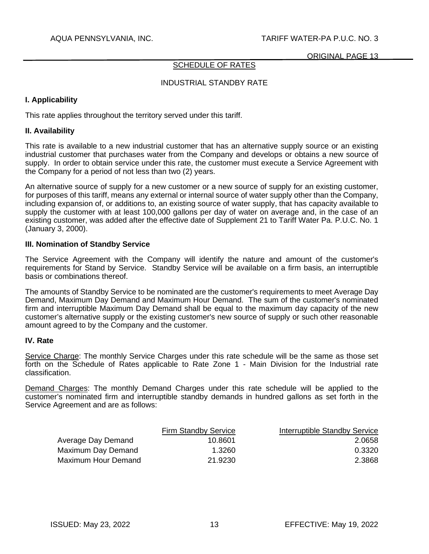ORIGINAL PAGE 13

### SCHEDULE OF RATES

### INDUSTRIAL STANDBY RATE

### **I. Applicability**

This rate applies throughout the territory served under this tariff.

### **II. Availability**

This rate is available to a new industrial customer that has an alternative supply source or an existing industrial customer that purchases water from the Company and develops or obtains a new source of supply. In order to obtain service under this rate, the customer must execute a Service Agreement with the Company for a period of not less than two (2) years.

An alternative source of supply for a new customer or a new source of supply for an existing customer, for purposes of this tariff, means any external or internal source of water supply other than the Company, including expansion of, or additions to, an existing source of water supply, that has capacity available to supply the customer with at least 100,000 gallons per day of water on average and, in the case of an existing customer, was added after the effective date of Supplement 21 to Tariff Water Pa. P.U.C. No. 1 (January 3, 2000).

### **III. Nomination of Standby Service**

The Service Agreement with the Company will identify the nature and amount of the customer's requirements for Stand by Service. Standby Service will be available on a firm basis, an interruptible basis or combinations thereof.

The amounts of Standby Service to be nominated are the customer's requirements to meet Average Day Demand, Maximum Day Demand and Maximum Hour Demand. The sum of the customer's nominated firm and interruptible Maximum Day Demand shall be equal to the maximum day capacity of the new customer's alternative supply or the existing customer's new source of supply or such other reasonable amount agreed to by the Company and the customer.

### **IV. Rate**

Service Charge: The monthly Service Charges under this rate schedule will be the same as those set forth on the Schedule of Rates applicable to Rate Zone 1 - Main Division for the Industrial rate classification.

Demand Charges: The monthly Demand Charges under this rate schedule will be applied to the customer's nominated firm and interruptible standby demands in hundred gallons as set forth in the Service Agreement and are as follows:

|                     | <b>Firm Standby Service</b> | Interruptible Standby Service |
|---------------------|-----------------------------|-------------------------------|
| Average Day Demand  | 10.8601                     | 2.0658                        |
| Maximum Day Demand  | 1.3260                      | 0.3320                        |
| Maximum Hour Demand | 21.9230                     | 2.3868                        |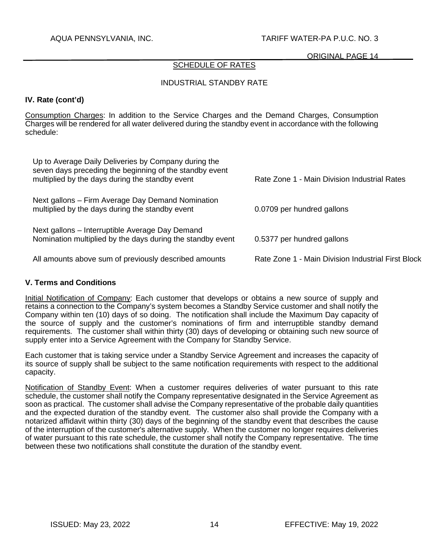### ORIGINAL PAGE 14

### SCHEDULE OF RATES

### INDUSTRIAL STANDBY RATE

## **IV. Rate (cont'd)**

Consumption Charges: In addition to the Service Charges and the Demand Charges, Consumption Charges will be rendered for all water delivered during the standby event in accordance with the following schedule:

| Up to Average Daily Deliveries by Company during the<br>seven days preceding the beginning of the standby event<br>multiplied by the days during the standby event | Rate Zone 1 - Main Division Industrial Rates       |
|--------------------------------------------------------------------------------------------------------------------------------------------------------------------|----------------------------------------------------|
| Next gallons – Firm Average Day Demand Nomination<br>multiplied by the days during the standby event                                                               | 0.0709 per hundred gallons                         |
| Next gallons - Interruptible Average Day Demand<br>Nomination multiplied by the days during the standby event                                                      | 0.5377 per hundred gallons                         |
| All amounts above sum of previously described amounts                                                                                                              | Rate Zone 1 - Main Division Industrial First Block |

### **V. Terms and Conditions**

Initial Notification of Company: Each customer that develops or obtains a new source of supply and retains a connection to the Company's system becomes a Standby Service customer and shall notify the Company within ten (10) days of so doing. The notification shall include the Maximum Day capacity of the source of supply and the customer's nominations of firm and interruptible standby demand requirements. The customer shall within thirty (30) days of developing or obtaining such new source of supply enter into a Service Agreement with the Company for Standby Service.

Each customer that is taking service under a Standby Service Agreement and increases the capacity of its source of supply shall be subject to the same notification requirements with respect to the additional capacity.

Notification of Standby Event: When a customer requires deliveries of water pursuant to this rate schedule, the customer shall notify the Company representative designated in the Service Agreement as soon as practical. The customer shall advise the Company representative of the probable daily quantities and the expected duration of the standby event. The customer also shall provide the Company with a notarized affidavit within thirty (30) days of the beginning of the standby event that describes the cause of the interruption of the customer's alternative supply. When the customer no longer requires deliveries of water pursuant to this rate schedule, the customer shall notify the Company representative. The time between these two notifications shall constitute the duration of the standby event.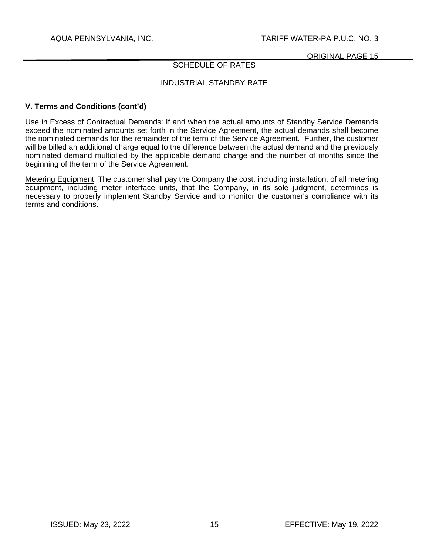ORIGINAL PAGE 15

### SCHEDULE OF RATES

### INDUSTRIAL STANDBY RATE

### **V. Terms and Conditions (cont'd)**

Use in Excess of Contractual Demands: If and when the actual amounts of Standby Service Demands exceed the nominated amounts set forth in the Service Agreement, the actual demands shall become the nominated demands for the remainder of the term of the Service Agreement. Further, the customer will be billed an additional charge equal to the difference between the actual demand and the previously nominated demand multiplied by the applicable demand charge and the number of months since the beginning of the term of the Service Agreement.

Metering Equipment: The customer shall pay the Company the cost, including installation, of all metering equipment, including meter interface units, that the Company, in its sole judgment, determines is necessary to properly implement Standby Service and to monitor the customer's compliance with its terms and conditions.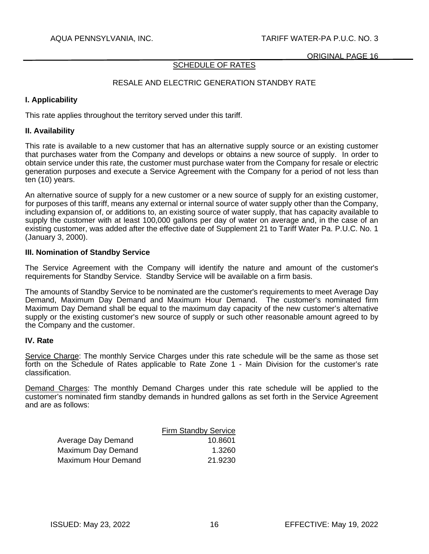ORIGINAL PAGE 16

# SCHEDULE OF RATES

# RESALE AND ELECTRIC GENERATION STANDBY RATE

## **I. Applicability**

This rate applies throughout the territory served under this tariff.

### **II. Availability**

This rate is available to a new customer that has an alternative supply source or an existing customer that purchases water from the Company and develops or obtains a new source of supply. In order to obtain service under this rate, the customer must purchase water from the Company for resale or electric generation purposes and execute a Service Agreement with the Company for a period of not less than ten (10) years.

An alternative source of supply for a new customer or a new source of supply for an existing customer, for purposes of this tariff, means any external or internal source of water supply other than the Company, including expansion of, or additions to, an existing source of water supply, that has capacity available to supply the customer with at least 100,000 gallons per day of water on average and, in the case of an existing customer, was added after the effective date of Supplement 21 to Tariff Water Pa. P.U.C. No. 1 (January 3, 2000).

### **III. Nomination of Standby Service**

The Service Agreement with the Company will identify the nature and amount of the customer's requirements for Standby Service. Standby Service will be available on a firm basis.

The amounts of Standby Service to be nominated are the customer's requirements to meet Average Day Demand, Maximum Day Demand and Maximum Hour Demand. The customer's nominated firm Maximum Day Demand shall be equal to the maximum day capacity of the new customer's alternative supply or the existing customer's new source of supply or such other reasonable amount agreed to by the Company and the customer.

### **IV. Rate**

Service Charge: The monthly Service Charges under this rate schedule will be the same as those set forth on the Schedule of Rates applicable to Rate Zone 1 - Main Division for the customer's rate classification.

Demand Charges: The monthly Demand Charges under this rate schedule will be applied to the customer's nominated firm standby demands in hundred gallons as set forth in the Service Agreement and are as follows:

|                     | <b>Firm Standby Service</b> |
|---------------------|-----------------------------|
| Average Day Demand  | 10.8601                     |
| Maximum Day Demand  | 1.3260                      |
| Maximum Hour Demand | 21.9230                     |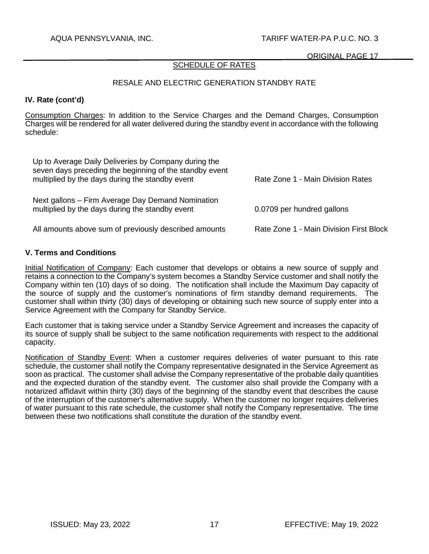### ORIGINAL PAGE 17

# SCHEDULE OF RATES

### RESALE AND ELECTRIC GENERATION STANDBY RATE

### **IV. Rate (cont'd)**

Consumption Charges: In addition to the Service Charges and the Demand Charges, Consumption Charges will be rendered for all water delivered during the standby event in accordance with the following schedule:

| Up to Average Daily Deliveries by Company during the<br>seven days preceding the beginning of the standby event<br>multiplied by the days during the standby event | Rate Zone 1 - Main Division Rates       |
|--------------------------------------------------------------------------------------------------------------------------------------------------------------------|-----------------------------------------|
| Next gallons – Firm Average Day Demand Nomination<br>multiplied by the days during the standby event                                                               | 0.0709 per hundred gallons              |
| All amounts above sum of previously described amounts                                                                                                              | Rate Zone 1 - Main Division First Block |

### **V. Terms and Conditions**

Initial Notification of Company: Each customer that develops or obtains a new source of supply and retains a connection to the Company's system becomes a Standby Service customer and shall notify the Company within ten (10) days of so doing. The notification shall include the Maximum Day capacity of the source of supply and the customer's nominations of firm standby demand requirements. The customer shall within thirty (30) days of developing or obtaining such new source of supply enter into a Service Agreement with the Company for Standby Service.

Each customer that is taking service under a Standby Service Agreement and increases the capacity of its source of supply shall be subject to the same notification requirements with respect to the additional capacity.

Notification of Standby Event: When a customer requires deliveries of water pursuant to this rate schedule, the customer shall notify the Company representative designated in the Service Agreement as soon as practical. The customer shall advise the Company representative of the probable daily quantities and the expected duration of the standby event. The customer also shall provide the Company with a notarized affidavit within thirty (30) days of the beginning of the standby event that describes the cause of the interruption of the customer's alternative supply. When the customer no longer requires deliveries of water pursuant to this rate schedule, the customer shall notify the Company representative. The time between these two notifications shall constitute the duration of the standby event.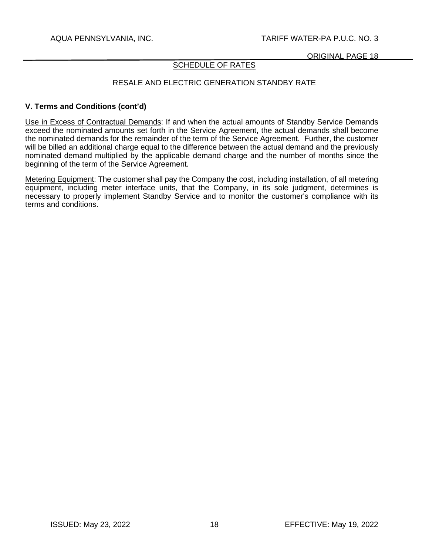## SCHEDULE OF RATES

## RESALE AND ELECTRIC GENERATION STANDBY RATE

### **V. Terms and Conditions (cont'd)**

Use in Excess of Contractual Demands: If and when the actual amounts of Standby Service Demands exceed the nominated amounts set forth in the Service Agreement, the actual demands shall become the nominated demands for the remainder of the term of the Service Agreement. Further, the customer will be billed an additional charge equal to the difference between the actual demand and the previously nominated demand multiplied by the applicable demand charge and the number of months since the beginning of the term of the Service Agreement.

Metering Equipment: The customer shall pay the Company the cost, including installation, of all metering equipment, including meter interface units, that the Company, in its sole judgment, determines is necessary to properly implement Standby Service and to monitor the customer's compliance with its terms and conditions.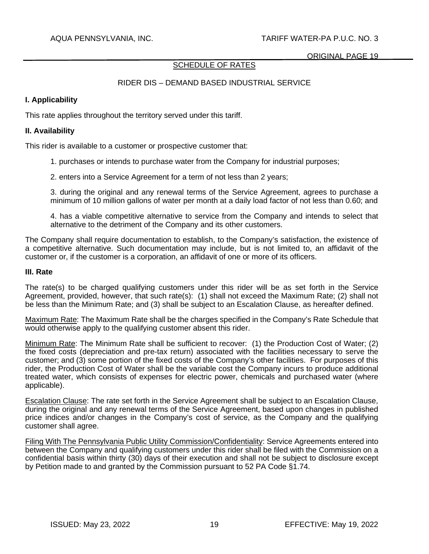# SCHEDULE OF RATES

# RIDER DIS – DEMAND BASED INDUSTRIAL SERVICE

### **I. Applicability**

This rate applies throughout the territory served under this tariff.

### **II. Availability**

This rider is available to a customer or prospective customer that:

- 1. purchases or intends to purchase water from the Company for industrial purposes;
- 2. enters into a Service Agreement for a term of not less than 2 years;

3. during the original and any renewal terms of the Service Agreement, agrees to purchase a minimum of 10 million gallons of water per month at a daily load factor of not less than 0.60; and

4. has a viable competitive alternative to service from the Company and intends to select that alternative to the detriment of the Company and its other customers.

The Company shall require documentation to establish, to the Company's satisfaction, the existence of a competitive alternative. Such documentation may include, but is not limited to, an affidavit of the customer or, if the customer is a corporation, an affidavit of one or more of its officers.

#### **III. Rate**

The rate(s) to be charged qualifying customers under this rider will be as set forth in the Service Agreement, provided, however, that such rate(s): (1) shall not exceed the Maximum Rate; (2) shall not be less than the Minimum Rate; and (3) shall be subject to an Escalation Clause, as hereafter defined.

Maximum Rate: The Maximum Rate shall be the charges specified in the Company's Rate Schedule that would otherwise apply to the qualifying customer absent this rider.

Minimum Rate: The Minimum Rate shall be sufficient to recover: (1) the Production Cost of Water; (2) the fixed costs (depreciation and pre-tax return) associated with the facilities necessary to serve the customer; and (3) some portion of the fixed costs of the Company's other facilities. For purposes of this rider, the Production Cost of Water shall be the variable cost the Company incurs to produce additional treated water, which consists of expenses for electric power, chemicals and purchased water (where applicable).

Escalation Clause: The rate set forth in the Service Agreement shall be subject to an Escalation Clause, during the original and any renewal terms of the Service Agreement, based upon changes in published price indices and/or changes in the Company's cost of service, as the Company and the qualifying customer shall agree.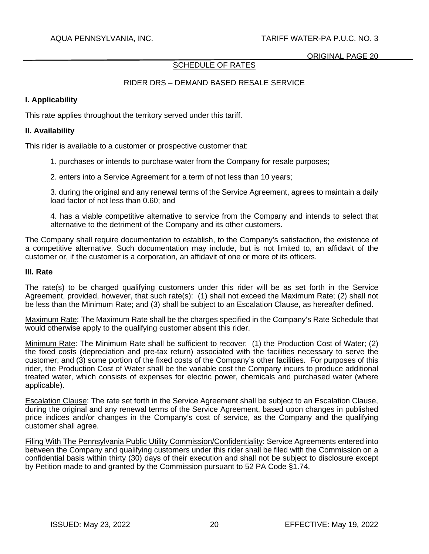# SCHEDULE OF RATES

# RIDER DRS – DEMAND BASED RESALE SERVICE

## **I. Applicability**

This rate applies throughout the territory served under this tariff.

### **II. Availability**

This rider is available to a customer or prospective customer that:

- 1. purchases or intends to purchase water from the Company for resale purposes;
- 2. enters into a Service Agreement for a term of not less than 10 years;

3. during the original and any renewal terms of the Service Agreement, agrees to maintain a daily load factor of not less than 0.60; and

4. has a viable competitive alternative to service from the Company and intends to select that alternative to the detriment of the Company and its other customers.

The Company shall require documentation to establish, to the Company's satisfaction, the existence of a competitive alternative. Such documentation may include, but is not limited to, an affidavit of the customer or, if the customer is a corporation, an affidavit of one or more of its officers.

#### **III. Rate**

The rate(s) to be charged qualifying customers under this rider will be as set forth in the Service Agreement, provided, however, that such rate(s): (1) shall not exceed the Maximum Rate; (2) shall not be less than the Minimum Rate; and (3) shall be subject to an Escalation Clause, as hereafter defined.

Maximum Rate: The Maximum Rate shall be the charges specified in the Company's Rate Schedule that would otherwise apply to the qualifying customer absent this rider.

Minimum Rate: The Minimum Rate shall be sufficient to recover: (1) the Production Cost of Water; (2) the fixed costs (depreciation and pre-tax return) associated with the facilities necessary to serve the customer; and (3) some portion of the fixed costs of the Company's other facilities. For purposes of this rider, the Production Cost of Water shall be the variable cost the Company incurs to produce additional treated water, which consists of expenses for electric power, chemicals and purchased water (where applicable).

Escalation Clause: The rate set forth in the Service Agreement shall be subject to an Escalation Clause, during the original and any renewal terms of the Service Agreement, based upon changes in published price indices and/or changes in the Company's cost of service, as the Company and the qualifying customer shall agree.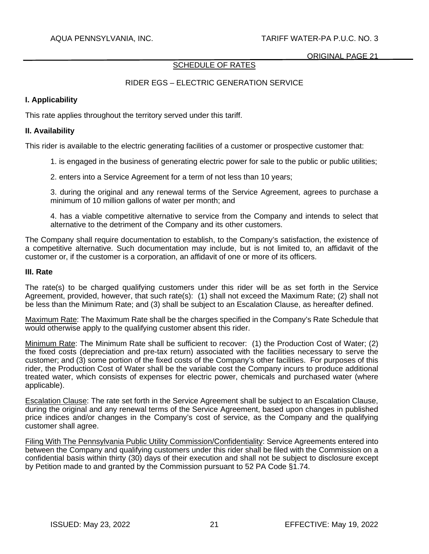# SCHEDULE OF RATES

# RIDER EGS – ELECTRIC GENERATION SERVICE

### **I. Applicability**

This rate applies throughout the territory served under this tariff.

### **II. Availability**

This rider is available to the electric generating facilities of a customer or prospective customer that:

1. is engaged in the business of generating electric power for sale to the public or public utilities;

2. enters into a Service Agreement for a term of not less than 10 years;

3. during the original and any renewal terms of the Service Agreement, agrees to purchase a minimum of 10 million gallons of water per month; and

4. has a viable competitive alternative to service from the Company and intends to select that alternative to the detriment of the Company and its other customers.

The Company shall require documentation to establish, to the Company's satisfaction, the existence of a competitive alternative. Such documentation may include, but is not limited to, an affidavit of the customer or, if the customer is a corporation, an affidavit of one or more of its officers.

### **III. Rate**

The rate(s) to be charged qualifying customers under this rider will be as set forth in the Service Agreement, provided, however, that such rate(s): (1) shall not exceed the Maximum Rate; (2) shall not be less than the Minimum Rate; and (3) shall be subject to an Escalation Clause, as hereafter defined.

Maximum Rate: The Maximum Rate shall be the charges specified in the Company's Rate Schedule that would otherwise apply to the qualifying customer absent this rider.

Minimum Rate: The Minimum Rate shall be sufficient to recover: (1) the Production Cost of Water; (2) the fixed costs (depreciation and pre-tax return) associated with the facilities necessary to serve the customer; and (3) some portion of the fixed costs of the Company's other facilities. For purposes of this rider, the Production Cost of Water shall be the variable cost the Company incurs to produce additional treated water, which consists of expenses for electric power, chemicals and purchased water (where applicable).

Escalation Clause: The rate set forth in the Service Agreement shall be subject to an Escalation Clause, during the original and any renewal terms of the Service Agreement, based upon changes in published price indices and/or changes in the Company's cost of service, as the Company and the qualifying customer shall agree.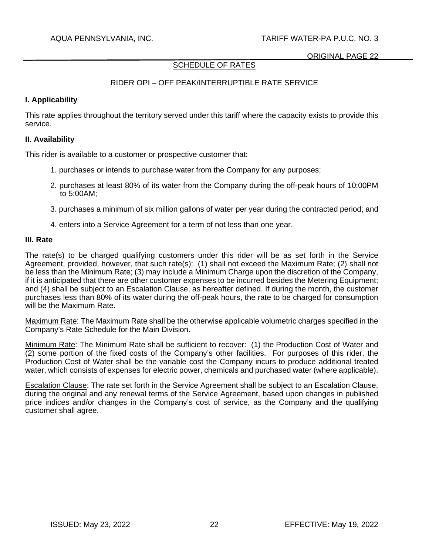# SCHEDULE OF RATES

# RIDER OPI – OFF PEAK/INTERRUPTIBLE RATE SERVICE

### **I. Applicability**

This rate applies throughout the territory served under this tariff where the capacity exists to provide this service.

### **II. Availability**

This rider is available to a customer or prospective customer that:

- 1. purchases or intends to purchase water from the Company for any purposes;
- 2. purchases at least 80% of its water from the Company during the off-peak hours of 10:00PM to 5:00AM;
- 3. purchases a minimum of six million gallons of water per year during the contracted period; and
- 4. enters into a Service Agreement for a term of not less than one year.

### **III. Rate**

The rate(s) to be charged qualifying customers under this rider will be as set forth in the Service Agreement, provided, however, that such rate(s): (1) shall not exceed the Maximum Rate; (2) shall not be less than the Minimum Rate; (3) may include a Minimum Charge upon the discretion of the Company, if it is anticipated that there are other customer expenses to be incurred besides the Metering Equipment; and (4) shall be subject to an Escalation Clause, as hereafter defined. If during the month, the customer purchases less than 80% of its water during the off-peak hours, the rate to be charged for consumption will be the Maximum Rate.

Maximum Rate: The Maximum Rate shall be the otherwise applicable volumetric charges specified in the Company's Rate Schedule for the Main Division.

Minimum Rate: The Minimum Rate shall be sufficient to recover: (1) the Production Cost of Water and (2) some portion of the fixed costs of the Company's other facilities. For purposes of this rider, the Production Cost of Water shall be the variable cost the Company incurs to produce additional treated water, which consists of expenses for electric power, chemicals and purchased water (where applicable).

Escalation Clause: The rate set forth in the Service Agreement shall be subject to an Escalation Clause, during the original and any renewal terms of the Service Agreement, based upon changes in published price indices and/or changes in the Company's cost of service, as the Company and the qualifying customer shall agree.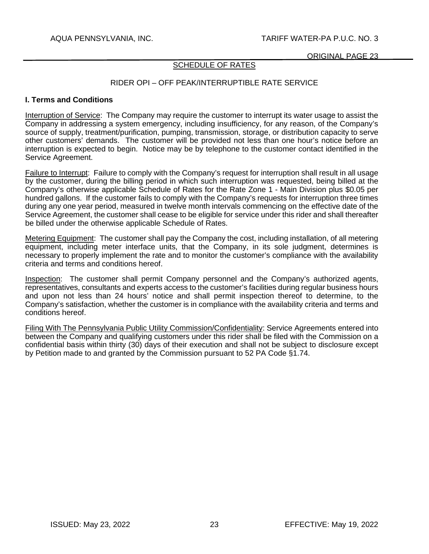## SCHEDULE OF RATES

## RIDER OPI – OFF PEAK/INTERRUPTIBLE RATE SERVICE

#### **I. Terms and Conditions**

Interruption of Service: The Company may require the customer to interrupt its water usage to assist the Company in addressing a system emergency, including insufficiency, for any reason, of the Company's source of supply, treatment/purification, pumping, transmission, storage, or distribution capacity to serve other customers' demands. The customer will be provided not less than one hour's notice before an interruption is expected to begin. Notice may be by telephone to the customer contact identified in the Service Agreement.

Failure to Interrupt: Failure to comply with the Company's request for interruption shall result in all usage by the customer, during the billing period in which such interruption was requested, being billed at the Company's otherwise applicable Schedule of Rates for the Rate Zone 1 - Main Division plus \$0.05 per hundred gallons. If the customer fails to comply with the Company's requests for interruption three times during any one year period, measured in twelve month intervals commencing on the effective date of the Service Agreement, the customer shall cease to be eligible for service under this rider and shall thereafter be billed under the otherwise applicable Schedule of Rates.

Metering Equipment: The customer shall pay the Company the cost, including installation, of all metering equipment, including meter interface units, that the Company, in its sole judgment, determines is necessary to properly implement the rate and to monitor the customer's compliance with the availability criteria and terms and conditions hereof.

Inspection: The customer shall permit Company personnel and the Company's authorized agents, representatives, consultants and experts access to the customer's facilities during regular business hours and upon not less than 24 hours' notice and shall permit inspection thereof to determine, to the Company's satisfaction, whether the customer is in compliance with the availability criteria and terms and conditions hereof.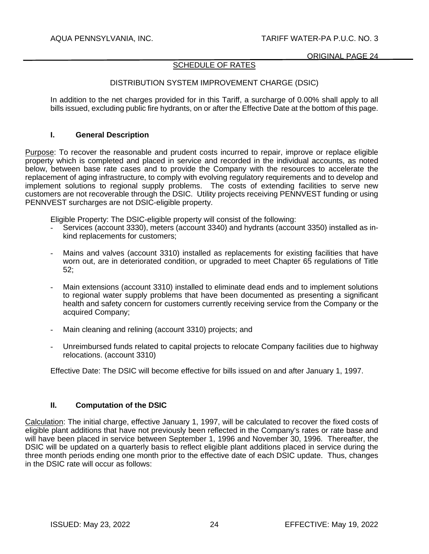# SCHEDULE OF RATES

# DISTRIBUTION SYSTEM IMPROVEMENT CHARGE (DSIC)

In addition to the net charges provided for in this Tariff, a surcharge of 0.00% shall apply to all bills issued, excluding public fire hydrants, on or after the Effective Date at the bottom of this page.

### **I. General Description**

Purpose: To recover the reasonable and prudent costs incurred to repair, improve or replace eligible property which is completed and placed in service and recorded in the individual accounts, as noted below, between base rate cases and to provide the Company with the resources to accelerate the replacement of aging infrastructure, to comply with evolving regulatory requirements and to develop and implement solutions to regional supply problems. The costs of extending facilities to serve new customers are not recoverable through the DSIC. Utility projects receiving PENNVEST funding or using PENNVEST surcharges are not DSIC-eligible property.

Eligible Property: The DSIC-eligible property will consist of the following:

- Services (account 3330), meters (account 3340) and hydrants (account 3350) installed as inkind replacements for customers;
- Mains and valves (account 3310) installed as replacements for existing facilities that have worn out, are in deteriorated condition, or upgraded to meet Chapter 65 regulations of Title 52;
- Main extensions (account 3310) installed to eliminate dead ends and to implement solutions to regional water supply problems that have been documented as presenting a significant health and safety concern for customers currently receiving service from the Company or the acquired Company;
- Main cleaning and relining (account 3310) projects; and
- Unreimbursed funds related to capital projects to relocate Company facilities due to highway relocations. (account 3310)

Effective Date: The DSIC will become effective for bills issued on and after January 1, 1997.

## **II. Computation of the DSIC**

Calculation: The initial charge, effective January 1, 1997, will be calculated to recover the fixed costs of eligible plant additions that have not previously been reflected in the Company's rates or rate base and will have been placed in service between September 1, 1996 and November 30, 1996. Thereafter, the DSIC will be updated on a quarterly basis to reflect eligible plant additions placed in service during the three month periods ending one month prior to the effective date of each DSIC update. Thus, changes in the DSIC rate will occur as follows: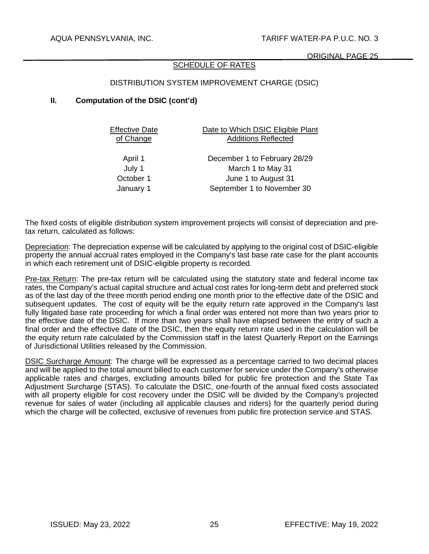### SCHEDULE OF RATES

## DISTRIBUTION SYSTEM IMPROVEMENT CHARGE (DSIC)

### **II. Computation of the DSIC (cont'd)**

Effective Date of Change

Date to Which DSIC Eligible Plant Additions Reflected

April 1 December 1 to February 28/29 July 1 March 1 to May 31 October 1 June 1 to August 31 January 1 September 1 to November 30

The fixed costs of eligible distribution system improvement projects will consist of depreciation and pretax return, calculated as follows:

Depreciation: The depreciation expense will be calculated by applying to the original cost of DSIC-eligible property the annual accrual rates employed in the Company's last base rate case for the plant accounts in which each retirement unit of DSIC-eligible property is recorded.

Pre-tax Return: The pre-tax return will be calculated using the statutory state and federal income tax rates, the Company's actual capital structure and actual cost rates for long-term debt and preferred stock as of the last day of the three month period ending one month prior to the effective date of the DSIC and subsequent updates. The cost of equity will be the equity return rate approved in the Company's last fully litigated base rate proceeding for which a final order was entered not more than two years prior to the effective date of the DSIC. If more than two years shall have elapsed between the entry of such a final order and the effective date of the DSIC, then the equity return rate used in the calculation will be the equity return rate calculated by the Commission staff in the latest Quarterly Report on the Earnings of Jurisdictional Utilities released by the Commission.

DSIC Surcharge Amount: The charge will be expressed as a percentage carried to two decimal places and will be applied to the total amount billed to each customer for service under the Company's otherwise applicable rates and charges, excluding amounts billed for public fire protection and the State Tax Adjustment Surcharge (STAS). To calculate the DSIC, one-fourth of the annual fixed costs associated with all property eligible for cost recovery under the DSIC will be divided by the Company's projected revenue for sales of water (including all applicable clauses and riders) for the quarterly period during which the charge will be collected, exclusive of revenues from public fire protection service and STAS.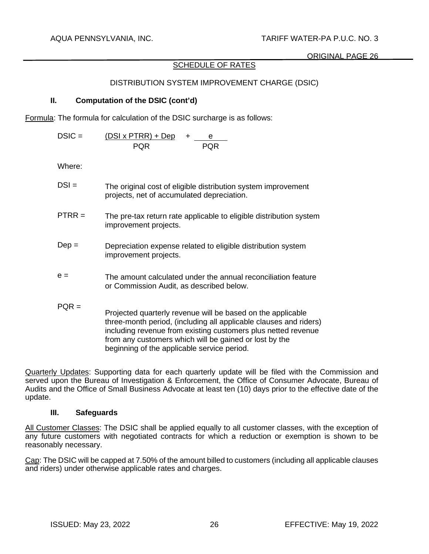# SCHEDULE OF RATES

# DISTRIBUTION SYSTEM IMPROVEMENT CHARGE (DSIC)

# **II. Computation of the DSIC (cont'd)**

Formula: The formula for calculation of the DSIC surcharge is as follows:

$$
DSIC = \frac{(DSI \times PTRR) + Dep}{PQR} + \frac{e}{PQR}
$$

Where:

| $DSI =$ | The original cost of eligible distribution system improvement |
|---------|---------------------------------------------------------------|
|         | projects, net of accumulated depreciation.                    |

- $PTRR =$  The pre-tax return rate applicable to eligible distribution system improvement projects.
- Dep = Depreciation expense related to eligible distribution system improvement projects.
- $e =$  The amount calculated under the annual reconciliation feature or Commission Audit, as described below.
- $POR =$ Projected quarterly revenue will be based on the applicable three-month period, (including all applicable clauses and riders) including revenue from existing customers plus netted revenue from any customers which will be gained or lost by the beginning of the applicable service period.

Quarterly Updates: Supporting data for each quarterly update will be filed with the Commission and served upon the Bureau of Investigation & Enforcement, the Office of Consumer Advocate, Bureau of Audits and the Office of Small Business Advocate at least ten (10) days prior to the effective date of the update.

### **III. Safeguards**

All Customer Classes: The DSIC shall be applied equally to all customer classes, with the exception of any future customers with negotiated contracts for which a reduction or exemption is shown to be reasonably necessary.

Cap: The DSIC will be capped at 7.50% of the amount billed to customers (including all applicable clauses and riders) under otherwise applicable rates and charges.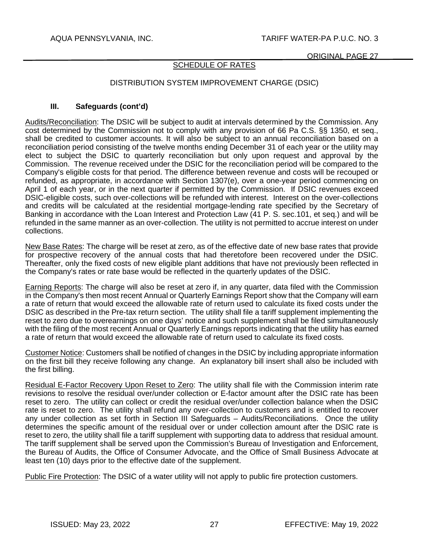## SCHEDULE OF RATES

## DISTRIBUTION SYSTEM IMPROVEMENT CHARGE (DSIC)

### **III. Safeguards (cont'd)**

Audits/Reconciliation: The DSIC will be subject to audit at intervals determined by the Commission. Any cost determined by the Commission not to comply with any provision of 66 Pa C.S. §§ 1350, et seq., shall be credited to customer accounts. It will also be subject to an annual reconciliation based on a reconciliation period consisting of the twelve months ending December 31 of each year or the utility may elect to subject the DSIC to quarterly reconciliation but only upon request and approval by the Commission. The revenue received under the DSIC for the reconciliation period will be compared to the Company's eligible costs for that period. The difference between revenue and costs will be recouped or refunded, as appropriate, in accordance with Section 1307(e), over a one-year period commencing on April 1 of each year, or in the next quarter if permitted by the Commission. If DSIC revenues exceed DSIC-eligible costs, such over-collections will be refunded with interest. Interest on the over-collections and credits will be calculated at the residential mortgage-lending rate specified by the Secretary of Banking in accordance with the Loan Interest and Protection Law (41 P. S. sec.101, et seq.) and will be refunded in the same manner as an over-collection. The utility is not permitted to accrue interest on under collections.

New Base Rates: The charge will be reset at zero, as of the effective date of new base rates that provide for prospective recovery of the annual costs that had theretofore been recovered under the DSIC. Thereafter, only the fixed costs of new eligible plant additions that have not previously been reflected in the Company's rates or rate base would be reflected in the quarterly updates of the DSIC.

Earning Reports: The charge will also be reset at zero if, in any quarter, data filed with the Commission in the Company's then most recent Annual or Quarterly Earnings Report show that the Company will earn a rate of return that would exceed the allowable rate of return used to calculate its fixed costs under the DSIC as described in the Pre-tax return section. The utility shall file a tariff supplement implementing the reset to zero due to overearnings on one days' notice and such supplement shall be filed simultaneously with the filing of the most recent Annual or Quarterly Earnings reports indicating that the utility has earned a rate of return that would exceed the allowable rate of return used to calculate its fixed costs.

Customer Notice: Customers shall be notified of changes in the DSIC by including appropriate information on the first bill they receive following any change. An explanatory bill insert shall also be included with the first billing.

Residual E-Factor Recovery Upon Reset to Zero: The utility shall file with the Commission interim rate revisions to resolve the residual over/under collection or E-factor amount after the DSIC rate has been reset to zero. The utility can collect or credit the residual over/under collection balance when the DSIC rate is reset to zero. The utility shall refund any over-collection to customers and is entitled to recover any under collection as set forth in Section III Safeguards – Audits/Reconciliations. Once the utility determines the specific amount of the residual over or under collection amount after the DSIC rate is reset to zero, the utility shall file a tariff supplement with supporting data to address that residual amount. The tariff supplement shall be served upon the Commission's Bureau of Investigation and Enforcement, the Bureau of Audits, the Office of Consumer Advocate, and the Office of Small Business Advocate at least ten (10) days prior to the effective date of the supplement.

Public Fire Protection: The DSIC of a water utility will not apply to public fire protection customers.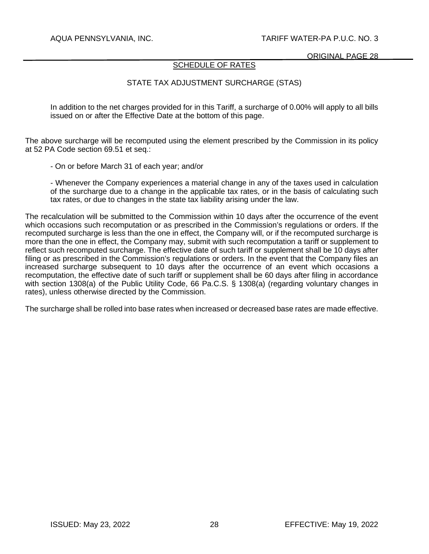ORIGINAL PAGE 28

### SCHEDULE OF RATES

# STATE TAX ADJUSTMENT SURCHARGE (STAS)

In addition to the net charges provided for in this Tariff, a surcharge of 0.00% will apply to all bills issued on or after the Effective Date at the bottom of this page.

The above surcharge will be recomputed using the element prescribed by the Commission in its policy at 52 PA Code section 69.51 et seq.:

- On or before March 31 of each year; and/or

- Whenever the Company experiences a material change in any of the taxes used in calculation of the surcharge due to a change in the applicable tax rates, or in the basis of calculating such tax rates, or due to changes in the state tax liability arising under the law.

The recalculation will be submitted to the Commission within 10 days after the occurrence of the event which occasions such recomputation or as prescribed in the Commission's regulations or orders. If the recomputed surcharge is less than the one in effect, the Company will, or if the recomputed surcharge is more than the one in effect, the Company may, submit with such recomputation a tariff or supplement to reflect such recomputed surcharge. The effective date of such tariff or supplement shall be 10 days after filing or as prescribed in the Commission's regulations or orders. In the event that the Company files an increased surcharge subsequent to 10 days after the occurrence of an event which occasions a recomputation, the effective date of such tariff or supplement shall be 60 days after filing in accordance with section 1308(a) of the Public Utility Code, 66 Pa.C.S. § 1308(a) (regarding voluntary changes in rates), unless otherwise directed by the Commission.

The surcharge shall be rolled into base rates when increased or decreased base rates are made effective.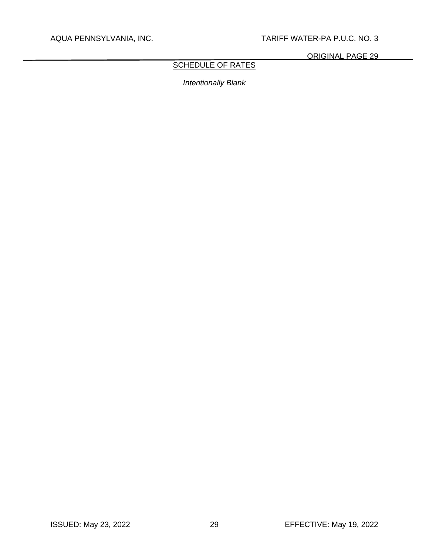ORIGINAL PAGE 29

# SCHEDULE OF RATES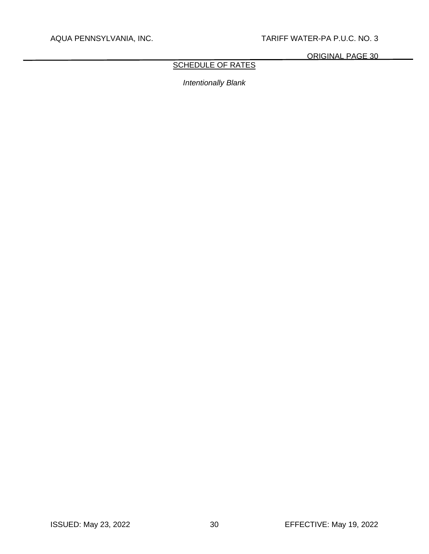ORIGINAL PAGE 30

# SCHEDULE OF RATES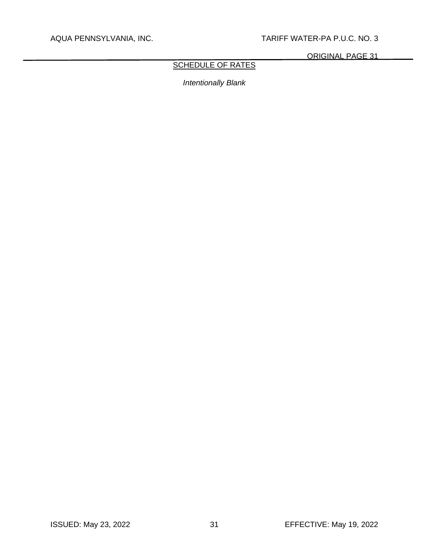ORIGINAL PAGE 31

# SCHEDULE OF RATES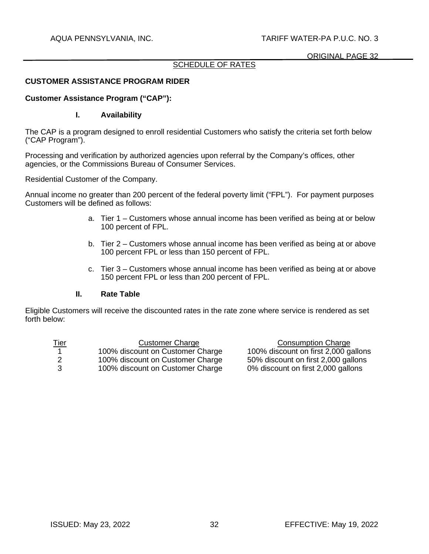### ORIGINAL PAGE 32

### SCHEDULE OF RATES

## **CUSTOMER ASSISTANCE PROGRAM RIDER**

### **Customer Assistance Program ("CAP"):**

### **I. Availability**

The CAP is a program designed to enroll residential Customers who satisfy the criteria set forth below ("CAP Program").

Processing and verification by authorized agencies upon referral by the Company's offices, other agencies, or the Commissions Bureau of Consumer Services.

Residential Customer of the Company.

Annual income no greater than 200 percent of the federal poverty limit ("FPL"). For payment purposes Customers will be defined as follows:

- a. Tier 1 Customers whose annual income has been verified as being at or below 100 percent of FPL.
- b. Tier 2 Customers whose annual income has been verified as being at or above 100 percent FPL or less than 150 percent of FPL.
- c. Tier 3 Customers whose annual income has been verified as being at or above 150 percent FPL or less than 200 percent of FPL.

### **II. Rate Table**

Eligible Customers will receive the discounted rates in the rate zone where service is rendered as set forth below:

| <u>Tier</u> | <b>Customer Charge</b>           | <b>Consumption Charge</b>            |
|-------------|----------------------------------|--------------------------------------|
|             | 100% discount on Customer Charge | 100% discount on first 2,000 gallons |
|             | 100% discount on Customer Charge | 50% discount on first 2,000 gallons  |
| - 3         | 100% discount on Customer Charge | 0% discount on first 2,000 gallons   |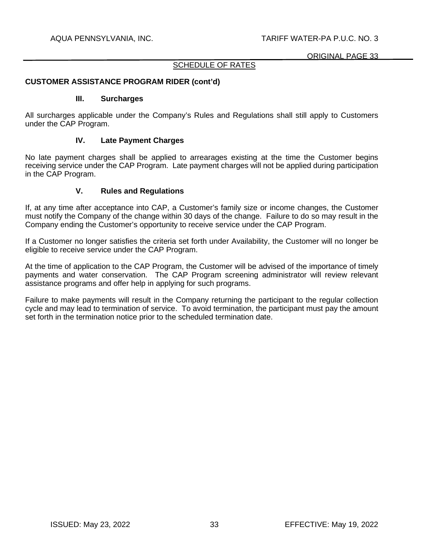### ORIGINAL PAGE 33

### SCHEDULE OF RATES

### **CUSTOMER ASSISTANCE PROGRAM RIDER (cont'd)**

#### **III. Surcharges**

All surcharges applicable under the Company's Rules and Regulations shall still apply to Customers under the CAP Program.

#### **IV. Late Payment Charges**

No late payment charges shall be applied to arrearages existing at the time the Customer begins receiving service under the CAP Program. Late payment charges will not be applied during participation in the CAP Program.

#### **V. Rules and Regulations**

If, at any time after acceptance into CAP, a Customer's family size or income changes, the Customer must notify the Company of the change within 30 days of the change. Failure to do so may result in the Company ending the Customer's opportunity to receive service under the CAP Program.

If a Customer no longer satisfies the criteria set forth under Availability, the Customer will no longer be eligible to receive service under the CAP Program.

At the time of application to the CAP Program, the Customer will be advised of the importance of timely payments and water conservation. The CAP Program screening administrator will review relevant assistance programs and offer help in applying for such programs.

Failure to make payments will result in the Company returning the participant to the regular collection cycle and may lead to termination of service. To avoid termination, the participant must pay the amount set forth in the termination notice prior to the scheduled termination date.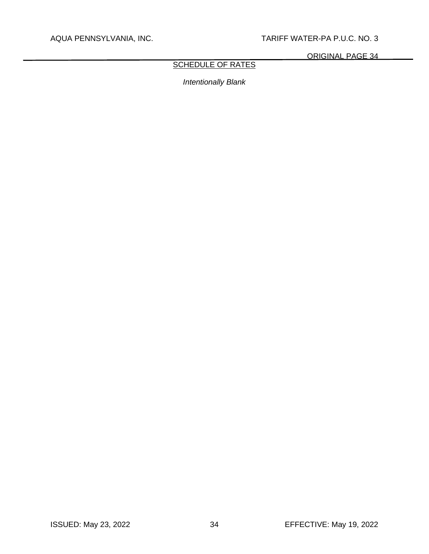ORIGINAL PAGE 34

# **SCHEDULE OF RATES**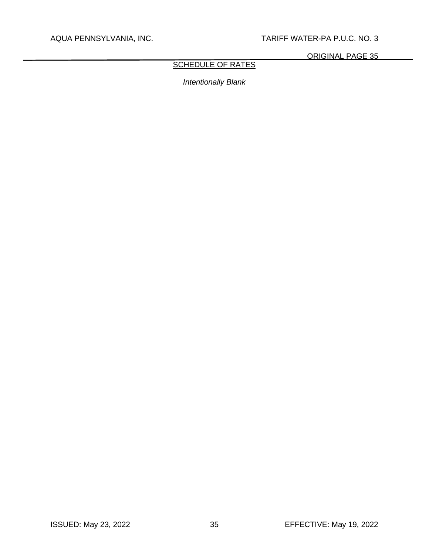ORIGINAL PAGE 35

# **SCHEDULE OF RATES**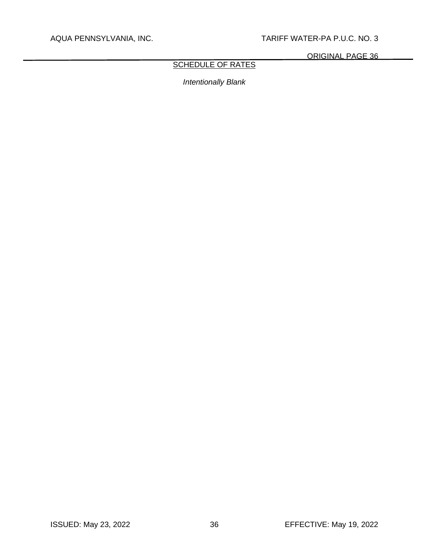ORIGINAL PAGE 36

# **SCHEDULE OF RATES**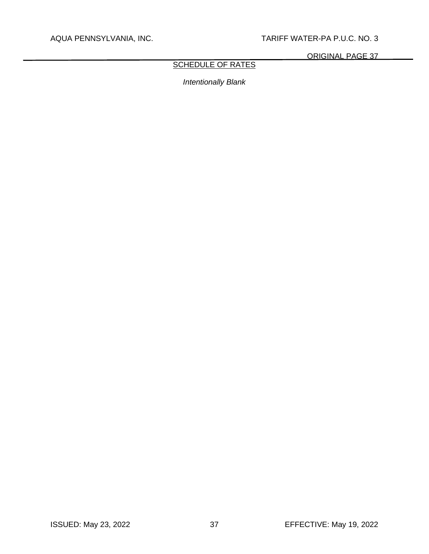ORIGINAL PAGE 37

# SCHEDULE OF RATES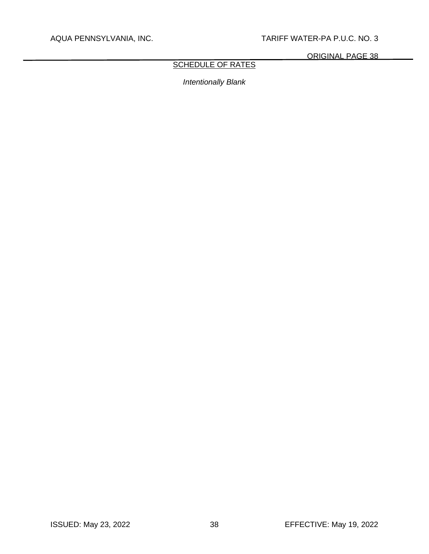ORIGINAL PAGE 38

# SCHEDULE OF RATES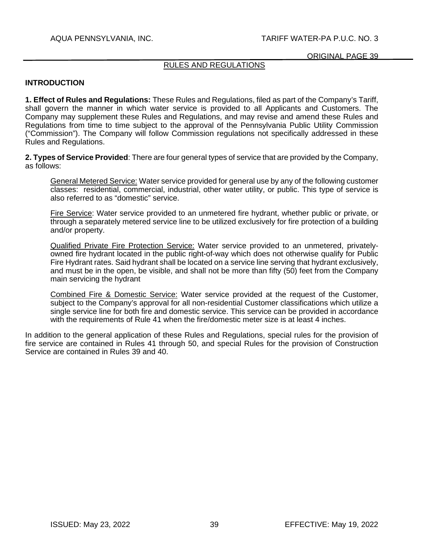# RULES AND REGULATIONS

# **INTRODUCTION**

**1. Effect of Rules and Regulations:** These Rules and Regulations, filed as part of the Company's Tariff, shall govern the manner in which water service is provided to all Applicants and Customers. The Company may supplement these Rules and Regulations, and may revise and amend these Rules and Regulations from time to time subject to the approval of the Pennsylvania Public Utility Commission ("Commission"). The Company will follow Commission regulations not specifically addressed in these Rules and Regulations.

**2. Types of Service Provided**: There are four general types of service that are provided by the Company, as follows:

General Metered Service: Water service provided for general use by any of the following customer classes: residential, commercial, industrial, other water utility, or public. This type of service is also referred to as "domestic" service.

Fire Service: Water service provided to an unmetered fire hydrant, whether public or private, or through a separately metered service line to be utilized exclusively for fire protection of a building and/or property.

Qualified Private Fire Protection Service: Water service provided to an unmetered, privatelyowned fire hydrant located in the public right-of-way which does not otherwise qualify for Public Fire Hydrant rates. Said hydrant shall be located on a service line serving that hydrant exclusively, and must be in the open, be visible, and shall not be more than fifty (50) feet from the Company main servicing the hydrant

Combined Fire & Domestic Service: Water service provided at the request of the Customer, subject to the Company's approval for all non-residential Customer classifications which utilize a single service line for both fire and domestic service. This service can be provided in accordance with the requirements of Rule 41 when the fire/domestic meter size is at least 4 inches.

In addition to the general application of these Rules and Regulations, special rules for the provision of fire service are contained in Rules 41 through 50, and special Rules for the provision of Construction Service are contained in Rules 39 and 40.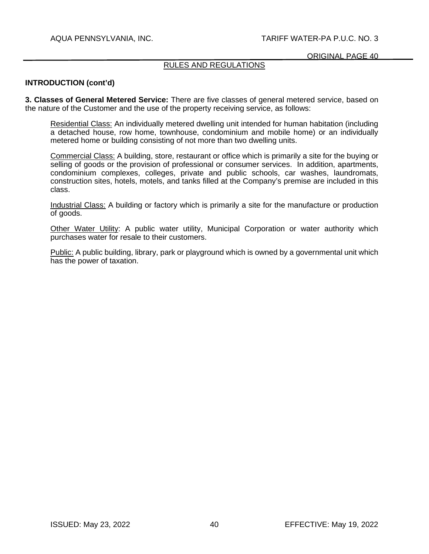#### ORIGINAL PAGE 40

# RULES AND REGULATIONS

### **INTRODUCTION (cont'd)**

**3. Classes of General Metered Service:** There are five classes of general metered service, based on the nature of the Customer and the use of the property receiving service, as follows:

Residential Class: An individually metered dwelling unit intended for human habitation (including a detached house, row home, townhouse, condominium and mobile home) or an individually metered home or building consisting of not more than two dwelling units.

Commercial Class: A building, store, restaurant or office which is primarily a site for the buying or selling of goods or the provision of professional or consumer services. In addition, apartments, condominium complexes, colleges, private and public schools, car washes, laundromats, construction sites, hotels, motels, and tanks filled at the Company's premise are included in this class.

Industrial Class: A building or factory which is primarily a site for the manufacture or production of goods.

Other Water Utility: A public water utility, Municipal Corporation or water authority which purchases water for resale to their customers.

Public: A public building, library, park or playground which is owned by a governmental unit which has the power of taxation.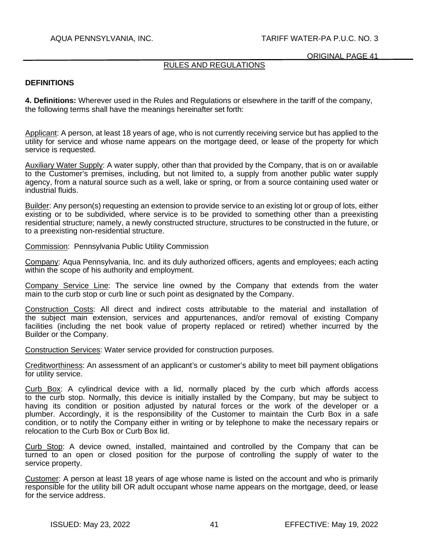### ORIGINAL PAGE 41

# RULES AND REGULATIONS

### **DEFINITIONS**

**4. Definitions:** Wherever used in the Rules and Regulations or elsewhere in the tariff of the company, the following terms shall have the meanings hereinafter set forth:

Applicant: A person, at least 18 years of age, who is not currently receiving service but has applied to the utility for service and whose name appears on the mortgage deed, or lease of the property for which service is requested.

Auxiliary Water Supply: A water supply, other than that provided by the Company, that is on or available to the Customer's premises, including, but not limited to, a supply from another public water supply agency, from a natural source such as a well, lake or spring, or from a source containing used water or industrial fluids.

Builder: Any person(s) requesting an extension to provide service to an existing lot or group of lots, either existing or to be subdivided, where service is to be provided to something other than a preexisting residential structure; namely, a newly constructed structure, structures to be constructed in the future, or to a preexisting non-residential structure.

Commission: Pennsylvania Public Utility Commission

Company: Aqua Pennsylvania, Inc. and its duly authorized officers, agents and employees: each acting within the scope of his authority and employment.

Company Service Line: The service line owned by the Company that extends from the water main to the curb stop or curb line or such point as designated by the Company.

Construction Costs: All direct and indirect costs attributable to the material and installation of the subject main extension, services and appurtenances, and/or removal of existing Company facilities (including the net book value of property replaced or retired) whether incurred by the Builder or the Company.

Construction Services: Water service provided for construction purposes.

Creditworthiness: An assessment of an applicant's or customer's ability to meet bill payment obligations for utility service.

Curb Box: A cylindrical device with a lid, normally placed by the curb which affords access to the curb stop. Normally, this device is initially installed by the Company, but may be subject to having its condition or position adjusted by natural forces or the work of the developer or a plumber. Accordingly, it is the responsibility of the Customer to maintain the Curb Box in a safe condition, or to notify the Company either in writing or by telephone to make the necessary repairs or relocation to the Curb Box or Curb Box lid.

Curb Stop: A device owned, installed, maintained and controlled by the Company that can be turned to an open or closed position for the purpose of controlling the supply of water to the service property.

Customer: A person at least 18 years of age whose name is listed on the account and who is primarily responsible for the utility bill OR adult occupant whose name appears on the mortgage, deed, or lease for the service address.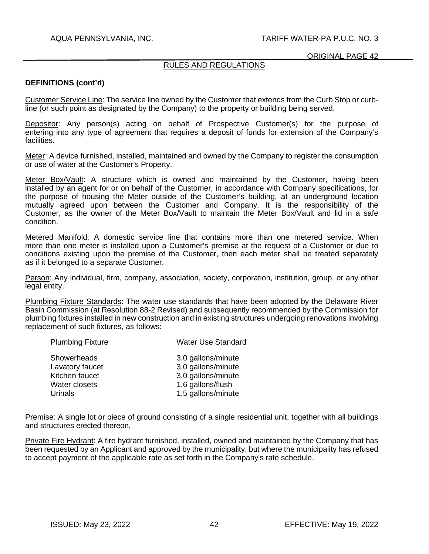# RULES AND REGULATIONS

### **DEFINITIONS (cont'd)**

Customer Service Line: The service line owned by the Customer that extends from the Curb Stop or curbline (or such point as designated by the Company) to the property or building being served.

Depositor: Any person(s) acting on behalf of Prospective Customer(s) for the purpose of entering into any type of agreement that requires a deposit of funds for extension of the Company's facilities.

Meter: A device furnished, installed, maintained and owned by the Company to register the consumption or use of water at the Customer's Property.

Meter Box/Vault: A structure which is owned and maintained by the Customer, having been installed by an agent for or on behalf of the Customer, in accordance with Company specifications, for the purpose of housing the Meter outside of the Customer's building, at an underground location mutually agreed upon between the Customer and Company. It is the responsibility of the Customer, as the owner of the Meter Box/Vault to maintain the Meter Box/Vault and lid in a safe condition.

Metered Manifold: A domestic service line that contains more than one metered service. When more than one meter is installed upon a Customer's premise at the request of a Customer or due to conditions existing upon the premise of the Customer, then each meter shall be treated separately as if it belonged to a separate Customer.

Person: Any individual, firm, company, association, society, corporation, institution, group, or any other legal entity.

Plumbing Fixture Standards: The water use standards that have been adopted by the Delaware River Basin Commission (at Resolution 88-2 Revised) and subsequently recommended by the Commission for plumbing fixtures installed in new construction and in existing structures undergoing renovations involving replacement of such fixtures, as follows:

| <b>Plumbing Fixture</b> | <b>Water Use Standard</b> |
|-------------------------|---------------------------|
| Showerheads             | 3.0 gallons/minute        |
| Lavatory faucet         | 3.0 gallons/minute        |
| Kitchen faucet          | 3.0 gallons/minute        |
| Water closets           | 1.6 gallons/flush         |
| Urinals                 | 1.5 gallons/minute        |

Premise: A single lot or piece of ground consisting of a single residential unit, together with all buildings and structures erected thereon.

Private Fire Hydrant: A fire hydrant furnished, installed, owned and maintained by the Company that has been requested by an Applicant and approved by the municipality, but where the municipality has refused to accept payment of the applicable rate as set forth in the Company's rate schedule.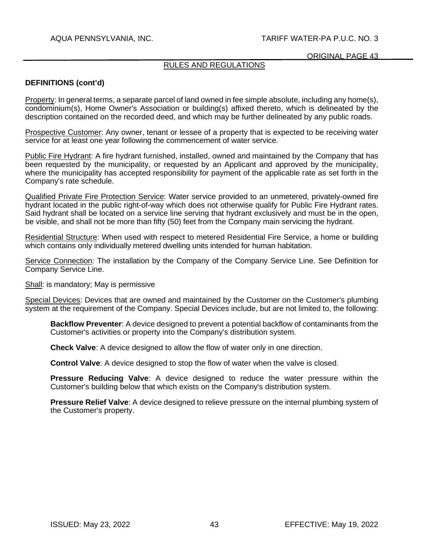#### ORIGINAL PAGE 43

# RULES AND REGULATIONS

## **DEFINITIONS (cont'd)**

Property: In general terms, a separate parcel of land owned in fee simple absolute, including any home(s), condominium(s), Home Owner's Association or building(s) affixed thereto, which is delineated by the description contained on the recorded deed, and which may be further delineated by any public roads.

Prospective Customer: Any owner, tenant or lessee of a property that is expected to be receiving water service for at least one year following the commencement of water service.

Public Fire Hydrant: A fire hydrant furnished, installed, owned and maintained by the Company that has been requested by the municipality, or requested by an Applicant and approved by the municipality, where the municipality has accepted responsibility for payment of the applicable rate as set forth in the Company's rate schedule.

Qualified Private Fire Protection Service: Water service provided to an unmetered, privately-owned fire hydrant located in the public right-of-way which does not otherwise qualify for Public Fire Hydrant rates. Said hydrant shall be located on a service line serving that hydrant exclusively and must be in the open, be visible, and shall not be more than fifty (50) feet from the Company main servicing the hydrant.

Residential Structure: When used with respect to metered Residential Fire Service, a home or building which contains only individually metered dwelling units intended for human habitation.

Service Connection: The installation by the Company of the Company Service Line. See Definition for Company Service Line.

Shall: is mandatory; May is permissive

Special Devices: Devices that are owned and maintained by the Customer on the Customer's plumbing system at the requirement of the Company. Special Devices include, but are not limited to, the following:

**Backflow Preventer**: A device designed to prevent a potential backflow of contaminants from the Customer's activities or property into the Company's distribution system.

**Check Valve**: A device designed to allow the flow of water only in one direction.

**Control Valve**: A device designed to stop the flow of water when the valve is closed.

**Pressure Reducing Valve**: A device designed to reduce the water pressure within the Customer's building below that which exists on the Company's distribution system.

**Pressure Relief Valve**: A device designed to relieve pressure on the internal plumbing system of the Customer's property.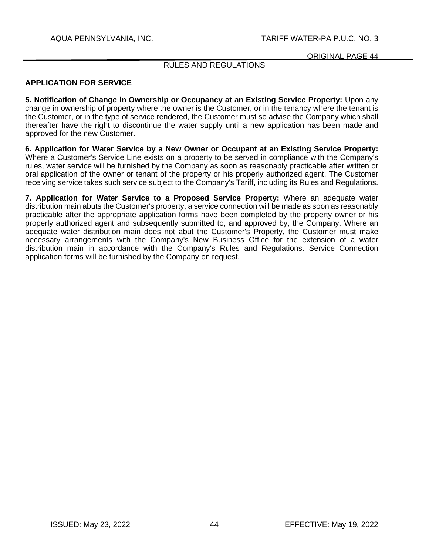# RULES AND REGULATIONS

## **APPLICATION FOR SERVICE**

**5. Notification of Change in Ownership or Occupancy at an Existing Service Property:** Upon any change in ownership of property where the owner is the Customer, or in the tenancy where the tenant is the Customer, or in the type of service rendered, the Customer must so advise the Company which shall thereafter have the right to discontinue the water supply until a new application has been made and approved for the new Customer.

**6. Application for Water Service by a New Owner or Occupant at an Existing Service Property:**  Where a Customer's Service Line exists on a property to be served in compliance with the Company's rules, water service will be furnished by the Company as soon as reasonably practicable after written or oral application of the owner or tenant of the property or his properly authorized agent. The Customer receiving service takes such service subject to the Company's Tariff, including its Rules and Regulations.

**7. Application for Water Service to a Proposed Service Property:** Where an adequate water distribution main abuts the Customer's property, a service connection will be made as soon as reasonably practicable after the appropriate application forms have been completed by the property owner or his properly authorized agent and subsequently submitted to, and approved by, the Company. Where an adequate water distribution main does not abut the Customer's Property, the Customer must make necessary arrangements with the Company's New Business Office for the extension of a water distribution main in accordance with the Company's Rules and Regulations. Service Connection application forms will be furnished by the Company on request.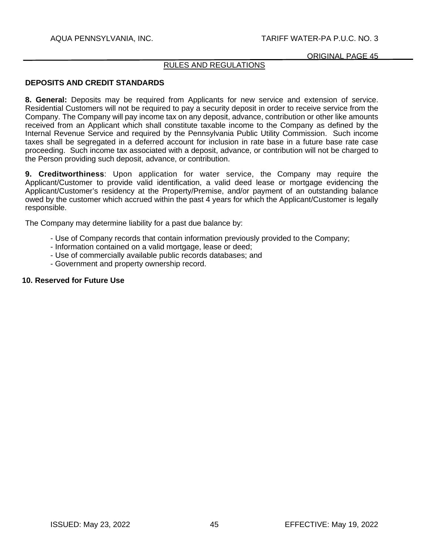#### ORIGINAL PAGE 45

# RULES AND REGULATIONS

### **DEPOSITS AND CREDIT STANDARDS**

**8. General:** Deposits may be required from Applicants for new service and extension of service. Residential Customers will not be required to pay a security deposit in order to receive service from the Company. The Company will pay income tax on any deposit, advance, contribution or other like amounts received from an Applicant which shall constitute taxable income to the Company as defined by the Internal Revenue Service and required by the Pennsylvania Public Utility Commission. Such income taxes shall be segregated in a deferred account for inclusion in rate base in a future base rate case proceeding. Such income tax associated with a deposit, advance, or contribution will not be charged to the Person providing such deposit, advance, or contribution.

**9. Creditworthiness**: Upon application for water service, the Company may require the Applicant/Customer to provide valid identification, a valid deed lease or mortgage evidencing the Applicant/Customer's residency at the Property/Premise, and/or payment of an outstanding balance owed by the customer which accrued within the past 4 years for which the Applicant/Customer is legally responsible.

The Company may determine liability for a past due balance by:

- Use of Company records that contain information previously provided to the Company;
- Information contained on a valid mortgage, lease or deed;
- Use of commercially available public records databases; and
- Government and property ownership record.

#### **10. Reserved for Future Use**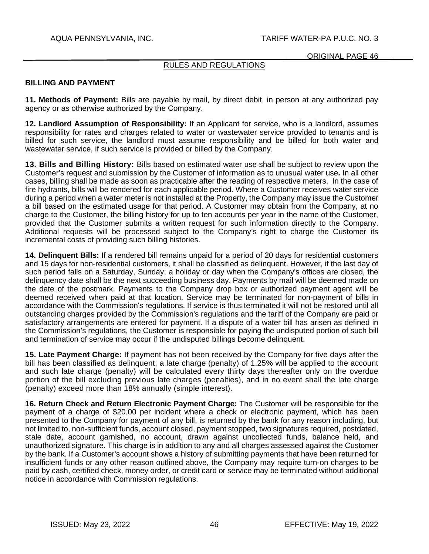# RULES AND REGULATIONS

### **BILLING AND PAYMENT**

**11. Methods of Payment:** Bills are payable by mail, by direct debit, in person at any authorized pay agency or as otherwise authorized by the Company.

**12. Landlord Assumption of Responsibility:** If an Applicant for service, who is a landlord, assumes responsibility for rates and charges related to water or wastewater service provided to tenants and is billed for such service, the landlord must assume responsibility and be billed for both water and wastewater service, if such service is provided or billed by the Company.

**13. Bills and Billing History:** Bills based on estimated water use shall be subject to review upon the Customer's request and submission by the Customer of information as to unusual water use**.** In all other cases, billing shall be made as soon as practicable after the reading of respective meters. In the case of fire hydrants, bills will be rendered for each applicable period. Where a Customer receives water service during a period when a water meter is not installed at the Property, the Company may issue the Customer a bill based on the estimated usage for that period. A Customer may obtain from the Company, at no charge to the Customer, the billing history for up to ten accounts per year in the name of the Customer, provided that the Customer submits a written request for such information directly to the Company. Additional requests will be processed subject to the Company's right to charge the Customer its incremental costs of providing such billing histories.

**14. Delinquent Bills:** If a rendered bill remains unpaid for a period of 20 days for residential customers and 15 days for non-residential customers, it shall be classified as delinquent. However, if the last day of such period falls on a Saturday, Sunday, a holiday or day when the Company's offices are closed, the delinquency date shall be the next succeeding business day. Payments by mail will be deemed made on the date of the postmark. Payments to the Company drop box or authorized payment agent will be deemed received when paid at that location. Service may be terminated for non-payment of bills in accordance with the Commission's regulations. If service is thus terminated it will not be restored until all outstanding charges provided by the Commission's regulations and the tariff of the Company are paid or satisfactory arrangements are entered for payment. If a dispute of a water bill has arisen as defined in the Commission's regulations, the Customer is responsible for paying the undisputed portion of such bill and termination of service may occur if the undisputed billings become delinquent.

**15. Late Payment Charge:** If payment has not been received by the Company for five days after the bill has been classified as delinquent, a late charge (penalty) of 1.25% will be applied to the account and such late charge (penalty) will be calculated every thirty days thereafter only on the overdue portion of the bill excluding previous late charges (penalties), and in no event shall the late charge (penalty) exceed more than 18% annually (simple interest).

**16. Return Check and Return Electronic Payment Charge:** The Customer will be responsible for the payment of a charge of \$20.00 per incident where a check or electronic payment, which has been presented to the Company for payment of any bill, is returned by the bank for any reason including, but not limited to, non-sufficient funds, account closed, payment stopped, two signatures required, postdated, stale date, account garnished, no account, drawn against uncollected funds, balance held, and unauthorized signature. This charge is in addition to any and all charges assessed against the Customer by the bank. If a Customer's account shows a history of submitting payments that have been returned for insufficient funds or any other reason outlined above, the Company may require turn-on charges to be paid by cash, certified check, money order, or credit card or service may be terminated without additional notice in accordance with Commission regulations.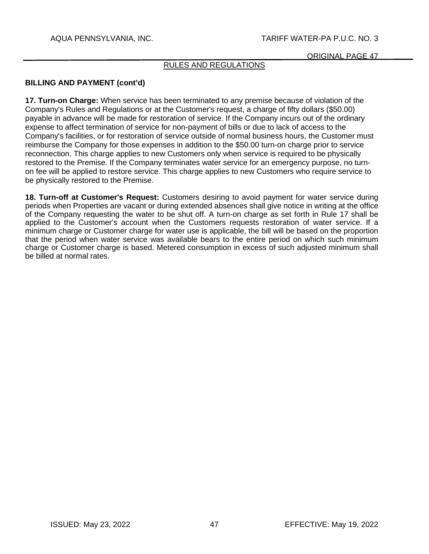# RULES AND REGULATIONS

# **BILLING AND PAYMENT (cont'd)**

**17. Turn-on Charge:** When service has been terminated to any premise because of violation of the Company's Rules and Regulations or at the Customer's request, a charge of fifty dollars (\$50.00) payable in advance will be made for restoration of service. If the Company incurs out of the ordinary expense to affect termination of service for non-payment of bills or due to lack of access to the Company's facilities, or for restoration of service outside of normal business hours, the Customer must reimburse the Company for those expenses in addition to the \$50.00 turn-on charge prior to service reconnection. This charge applies to new Customers only when service is required to be physically restored to the Premise. If the Company terminates water service for an emergency purpose, no turnon fee will be applied to restore service. This charge applies to new Customers who require service to be physically restored to the Premise.

**18. Turn-off at Customer's Request:** Customers desiring to avoid payment for water service during periods when Properties are vacant or during extended absences shall give notice in writing at the office of the Company requesting the water to be shut off. A turn-on charge as set forth in Rule 17 shall be applied to the Customer's account when the Customers requests restoration of water service. If a minimum charge or Customer charge for water use is applicable, the bill will be based on the proportion that the period when water service was available bears to the entire period on which such minimum charge or Customer charge is based. Metered consumption in excess of such adjusted minimum shall be billed at normal rates.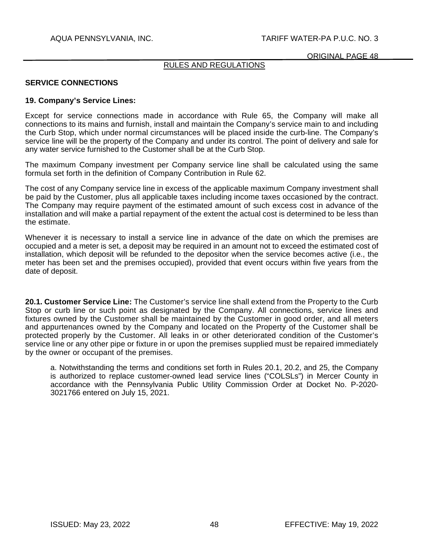# RULES AND REGULATIONS

### **SERVICE CONNECTIONS**

#### **19. Company's Service Lines:**

Except for service connections made in accordance with Rule 65, the Company will make all connections to its mains and furnish, install and maintain the Company's service main to and including the Curb Stop, which under normal circumstances will be placed inside the curb-line. The Company's service line will be the property of the Company and under its control. The point of delivery and sale for any water service furnished to the Customer shall be at the Curb Stop.

The maximum Company investment per Company service line shall be calculated using the same formula set forth in the definition of Company Contribution in Rule 62.

The cost of any Company service line in excess of the applicable maximum Company investment shall be paid by the Customer, plus all applicable taxes including income taxes occasioned by the contract. The Company may require payment of the estimated amount of such excess cost in advance of the installation and will make a partial repayment of the extent the actual cost is determined to be less than the estimate.

Whenever it is necessary to install a service line in advance of the date on which the premises are occupied and a meter is set, a deposit may be required in an amount not to exceed the estimated cost of installation, which deposit will be refunded to the depositor when the service becomes active (i.e., the meter has been set and the premises occupied), provided that event occurs within five years from the date of deposit.

**20.1. Customer Service Line:** The Customer's service line shall extend from the Property to the Curb Stop or curb line or such point as designated by the Company. All connections, service lines and fixtures owned by the Customer shall be maintained by the Customer in good order, and all meters and appurtenances owned by the Company and located on the Property of the Customer shall be protected properly by the Customer. All leaks in or other deteriorated condition of the Customer's service line or any other pipe or fixture in or upon the premises supplied must be repaired immediately by the owner or occupant of the premises.

a. Notwithstanding the terms and conditions set forth in Rules 20.1, 20.2, and 25, the Company is authorized to replace customer-owned lead service lines ("COLSLs") in Mercer County in accordance with the Pennsylvania Public Utility Commission Order at Docket No. P-2020- 3021766 entered on July 15, 2021.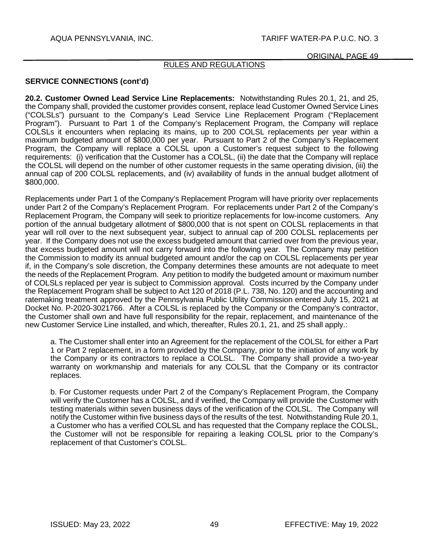## RULES AND REGULATIONS

# **SERVICE CONNECTIONS (cont'd)**

**20.2. Customer Owned Lead Service Line Replacements:** Notwithstanding Rules 20.1, 21, and 25, the Company shall, provided the customer provides consent, replace lead Customer Owned Service Lines ("COLSLs") pursuant to the Company's Lead Service Line Replacement Program ("Replacement Program"). Pursuant to Part 1 of the Company's Replacement Program, the Company will replace COLSLs it encounters when replacing its mains, up to 200 COLSL replacements per year within a maximum budgeted amount of \$800,000 per year. Pursuant to Part 2 of the Company's Replacement Program, the Company will replace a COLSL upon a Customer's request subject to the following requirements: (i) verification that the Customer has a COLSL, (ii) the date that the Company will replace the COLSL will depend on the number of other customer requests in the same operating division, (iii) the annual cap of 200 COLSL replacements, and (iv) availability of funds in the annual budget allotment of \$800,000.

Replacements under Part 1 of the Company's Replacement Program will have priority over replacements under Part 2 of the Company's Replacement Program. For replacements under Part 2 of the Company's Replacement Program, the Company will seek to prioritize replacements for low-income customers. Any portion of the annual budgetary allotment of \$800,000 that is not spent on COLSL replacements in that year will roll over to the next subsequent year, subject to annual cap of 200 COLSL replacements per year. If the Company does not use the excess budgeted amount that carried over from the previous year, that excess budgeted amount will not carry forward into the following year. The Company may petition the Commission to modify its annual budgeted amount and/or the cap on COLSL replacements per year if, in the Company's sole discretion, the Company determines these amounts are not adequate to meet the needs of the Replacement Program. Any petition to modify the budgeted amount or maximum number of COLSLs replaced per year is subject to Commission approval. Costs incurred by the Company under the Replacement Program shall be subject to Act 120 of 2018 (P.L. 738, No. 120) and the accounting and ratemaking treatment approved by the Pennsylvania Public Utility Commission entered July 15, 2021 at Docket No. P-2020-3021766. After a COLSL is replaced by the Company or the Company's contractor, the Customer shall own and have full responsibility for the repair, replacement, and maintenance of the new Customer Service Line installed, and which, thereafter, Rules 20.1, 21, and 25 shall apply.:

a. The Customer shall enter into an Agreement for the replacement of the COLSL for either a Part 1 or Part 2 replacement, in a form provided by the Company, prior to the initiation of any work by the Company or its contractors to replace a COLSL. The Company shall provide a two-year warranty on workmanship and materials for any COLSL that the Company or its contractor replaces.

b. For Customer requests under Part 2 of the Company's Replacement Program, the Company will verify the Customer has a COLSL, and if verified, the Company will provide the Customer with testing materials within seven business days of the verification of the COLSL. The Company will notify the Customer within five business days of the results of the test. Notwithstanding Rule 20.1, a Customer who has a verified COLSL and has requested that the Company replace the COLSL, the Customer will not be responsible for repairing a leaking COLSL prior to the Company's replacement of that Customer's COLSL.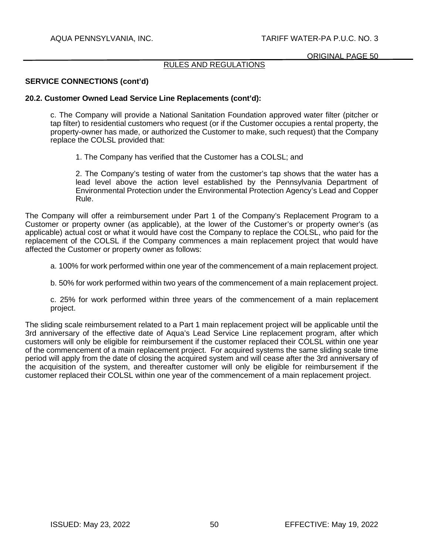### RULES AND REGULATIONS

### **SERVICE CONNECTIONS (cont'd)**

#### **20.2. Customer Owned Lead Service Line Replacements (cont'd):**

c. The Company will provide a National Sanitation Foundation approved water filter (pitcher or tap filter) to residential customers who request (or if the Customer occupies a rental property, the property-owner has made, or authorized the Customer to make, such request) that the Company replace the COLSL provided that:

1. The Company has verified that the Customer has a COLSL; and

2. The Company's testing of water from the customer's tap shows that the water has a lead level above the action level established by the Pennsylvania Department of Environmental Protection under the Environmental Protection Agency's Lead and Copper Rule.

The Company will offer a reimbursement under Part 1 of the Company's Replacement Program to a Customer or property owner (as applicable), at the lower of the Customer's or property owner's (as applicable) actual cost or what it would have cost the Company to replace the COLSL, who paid for the replacement of the COLSL if the Company commences a main replacement project that would have affected the Customer or property owner as follows:

- a. 100% for work performed within one year of the commencement of a main replacement project.
- b. 50% for work performed within two years of the commencement of a main replacement project.
- c. 25% for work performed within three years of the commencement of a main replacement project.

The sliding scale reimbursement related to a Part 1 main replacement project will be applicable until the 3rd anniversary of the effective date of Aqua's Lead Service Line replacement program, after which customers will only be eligible for reimbursement if the customer replaced their COLSL within one year of the commencement of a main replacement project. For acquired systems the same sliding scale time period will apply from the date of closing the acquired system and will cease after the 3rd anniversary of the acquisition of the system, and thereafter customer will only be eligible for reimbursement if the customer replaced their COLSL within one year of the commencement of a main replacement project.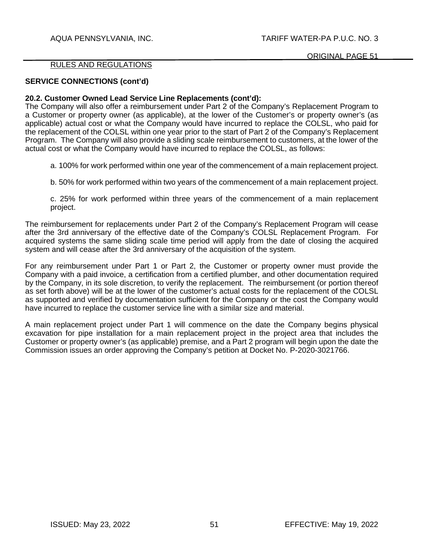#### RULES AND REGULATIONS

### **SERVICE CONNECTIONS (cont'd)**

#### **20.2. Customer Owned Lead Service Line Replacements (cont'd):**

The Company will also offer a reimbursement under Part 2 of the Company's Replacement Program to a Customer or property owner (as applicable), at the lower of the Customer's or property owner's (as applicable) actual cost or what the Company would have incurred to replace the COLSL, who paid for the replacement of the COLSL within one year prior to the start of Part 2 of the Company's Replacement Program. The Company will also provide a sliding scale reimbursement to customers, at the lower of the actual cost or what the Company would have incurred to replace the COLSL, as follows:

a. 100% for work performed within one year of the commencement of a main replacement project.

b. 50% for work performed within two years of the commencement of a main replacement project.

c. 25% for work performed within three years of the commencement of a main replacement project.

The reimbursement for replacements under Part 2 of the Company's Replacement Program will cease after the 3rd anniversary of the effective date of the Company's COLSL Replacement Program. For acquired systems the same sliding scale time period will apply from the date of closing the acquired system and will cease after the 3rd anniversary of the acquisition of the system.

For any reimbursement under Part 1 or Part 2, the Customer or property owner must provide the Company with a paid invoice, a certification from a certified plumber, and other documentation required by the Company, in its sole discretion, to verify the replacement. The reimbursement (or portion thereof as set forth above) will be at the lower of the customer's actual costs for the replacement of the COLSL as supported and verified by documentation sufficient for the Company or the cost the Company would have incurred to replace the customer service line with a similar size and material.

A main replacement project under Part 1 will commence on the date the Company begins physical excavation for pipe installation for a main replacement project in the project area that includes the Customer or property owner's (as applicable) premise, and a Part 2 program will begin upon the date the Commission issues an order approving the Company's petition at Docket No. P-2020-3021766.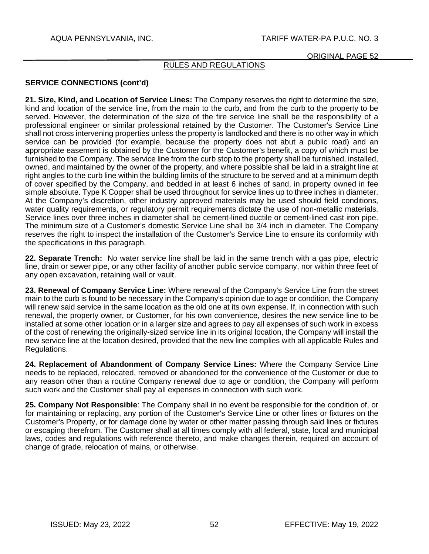# RULES AND REGULATIONS

# **SERVICE CONNECTIONS (cont'd)**

**21. Size, Kind, and Location of Service Lines:** The Company reserves the right to determine the size, kind and location of the service line, from the main to the curb, and from the curb to the property to be served. However, the determination of the size of the fire service line shall be the responsibility of a professional engineer or similar professional retained by the Customer. The Customer's Service Line shall not cross intervening properties unless the property is landlocked and there is no other way in which service can be provided (for example, because the property does not abut a public road) and an appropriate easement is obtained by the Customer for the Customer's benefit, a copy of which must be furnished to the Company. The service line from the curb stop to the property shall be furnished, installed, owned, and maintained by the owner of the property, and where possible shall be laid in a straight line at right angles to the curb line within the building limits of the structure to be served and at a minimum depth of cover specified by the Company, and bedded in at least 6 inches of sand, in property owned in fee simple absolute. Type K Copper shall be used throughout for service lines up to three inches in diameter. At the Company's discretion, other industry approved materials may be used should field conditions, water quality requirements, or regulatory permit requirements dictate the use of non-metallic materials. Service lines over three inches in diameter shall be cement-lined ductile or cement-lined cast iron pipe. The minimum size of a Customer's domestic Service Line shall be 3/4 inch in diameter. The Company reserves the right to inspect the installation of the Customer's Service Line to ensure its conformity with the specifications in this paragraph.

**22. Separate Trench:** No water service line shall be laid in the same trench with a gas pipe, electric line, drain or sewer pipe, or any other facility of another public service company, nor within three feet of any open excavation, retaining wall or vault.

**23. Renewal of Company Service Line:** Where renewal of the Company's Service Line from the street main to the curb is found to be necessary in the Company's opinion due to age or condition, the Company will renew said service in the same location as the old one at its own expense. If, in connection with such renewal, the property owner, or Customer, for his own convenience, desires the new service line to be installed at some other location or in a larger size and agrees to pay all expenses of such work in excess of the cost of renewing the originally-sized service line in its original location, the Company will install the new service line at the location desired, provided that the new line complies with all applicable Rules and Regulations.

**24. Replacement of Abandonment of Company Service Lines:** Where the Company Service Line needs to be replaced, relocated, removed or abandoned for the convenience of the Customer or due to any reason other than a routine Company renewal due to age or condition, the Company will perform such work and the Customer shall pay all expenses in connection with such work.

**25. Company Not Responsible**: The Company shall in no event be responsible for the condition of, or for maintaining or replacing, any portion of the Customer's Service Line or other lines or fixtures on the Customer's Property, or for damage done by water or other matter passing through said lines or fixtures or escaping therefrom. The Customer shall at all times comply with all federal, state, local and municipal laws, codes and regulations with reference thereto, and make changes therein, required on account of change of grade, relocation of mains, or otherwise.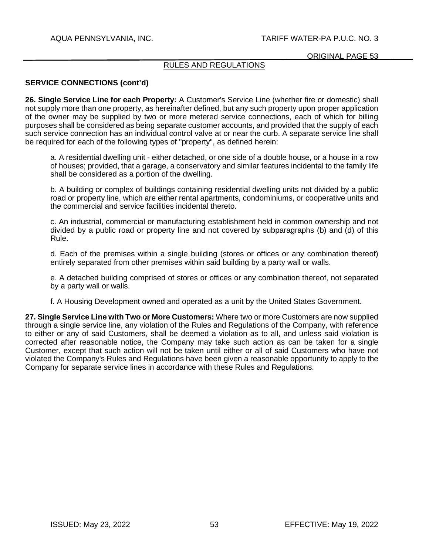# RULES AND REGULATIONS

### **SERVICE CONNECTIONS (cont'd)**

**26. Single Service Line for each Property:** A Customer's Service Line (whether fire or domestic) shall not supply more than one property, as hereinafter defined, but any such property upon proper application of the owner may be supplied by two or more metered service connections, each of which for billing purposes shall be considered as being separate customer accounts, and provided that the supply of each such service connection has an individual control valve at or near the curb. A separate service line shall be required for each of the following types of "property", as defined herein:

a. A residential dwelling unit - either detached, or one side of a double house, or a house in a row of houses; provided, that a garage, a conservatory and similar features incidental to the family life shall be considered as a portion of the dwelling.

b. A building or complex of buildings containing residential dwelling units not divided by a public road or property line, which are either rental apartments, condominiums, or cooperative units and the commercial and service facilities incidental thereto.

c. An industrial, commercial or manufacturing establishment held in common ownership and not divided by a public road or property line and not covered by subparagraphs (b) and (d) of this Rule.

d. Each of the premises within a single building (stores or offices or any combination thereof) entirely separated from other premises within said building by a party wall or walls.

e. A detached building comprised of stores or offices or any combination thereof, not separated by a party wall or walls.

f. A Housing Development owned and operated as a unit by the United States Government.

**27. Single Service Line with Two or More Customers:** Where two or more Customers are now supplied through a single service line, any violation of the Rules and Regulations of the Company, with reference to either or any of said Customers, shall be deemed a violation as to all, and unless said violation is corrected after reasonable notice, the Company may take such action as can be taken for a single Customer, except that such action will not be taken until either or all of said Customers who have not violated the Company's Rules and Regulations have been given a reasonable opportunity to apply to the Company for separate service lines in accordance with these Rules and Regulations.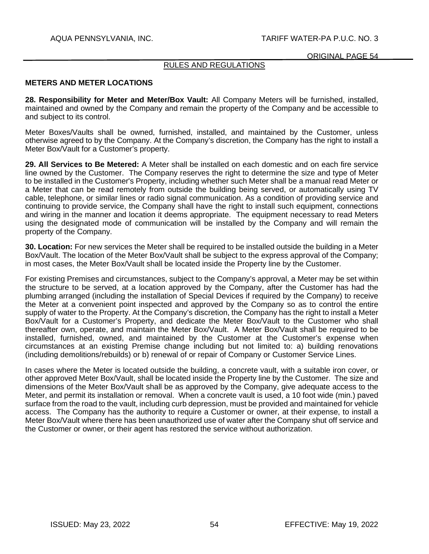# RULES AND REGULATIONS

### **METERS AND METER LOCATIONS**

**28. Responsibility for Meter and Meter/Box Vault:** All Company Meters will be furnished, installed, maintained and owned by the Company and remain the property of the Company and be accessible to and subject to its control.

Meter Boxes/Vaults shall be owned, furnished, installed, and maintained by the Customer, unless otherwise agreed to by the Company. At the Company's discretion, the Company has the right to install a Meter Box/Vault for a Customer's property.

**29. All Services to Be Metered:** A Meter shall be installed on each domestic and on each fire service line owned by the Customer. The Company reserves the right to determine the size and type of Meter to be installed in the Customer's Property, including whether such Meter shall be a manual read Meter or a Meter that can be read remotely from outside the building being served, or automatically using TV cable, telephone, or similar lines or radio signal communication. As a condition of providing service and continuing to provide service, the Company shall have the right to install such equipment, connections and wiring in the manner and location it deems appropriate. The equipment necessary to read Meters using the designated mode of communication will be installed by the Company and will remain the property of the Company.

**30. Location:** For new services the Meter shall be required to be installed outside the building in a Meter Box/Vault. The location of the Meter Box/Vault shall be subject to the express approval of the Company; in most cases, the Meter Box/Vault shall be located inside the Property line by the Customer.

For existing Premises and circumstances, subject to the Company's approval, a Meter may be set within the structure to be served, at a location approved by the Company, after the Customer has had the plumbing arranged (including the installation of Special Devices if required by the Company) to receive the Meter at a convenient point inspected and approved by the Company so as to control the entire supply of water to the Property. At the Company's discretion, the Company has the right to install a Meter Box/Vault for a Customer's Property, and dedicate the Meter Box/Vault to the Customer who shall thereafter own, operate, and maintain the Meter Box/Vault. A Meter Box/Vault shall be required to be installed, furnished, owned, and maintained by the Customer at the Customer's expense when circumstances at an existing Premise change including but not limited to: a) building renovations (including demolitions/rebuilds) or b) renewal of or repair of Company or Customer Service Lines.

In cases where the Meter is located outside the building, a concrete vault, with a suitable iron cover, or other approved Meter Box/Vault, shall be located inside the Property line by the Customer. The size and dimensions of the Meter Box/Vault shall be as approved by the Company, give adequate access to the Meter, and permit its installation or removal. When a concrete vault is used, a 10 foot wide (min.) paved surface from the road to the vault, including curb depression, must be provided and maintained for vehicle access. The Company has the authority to require a Customer or owner, at their expense, to install a Meter Box/Vault where there has been unauthorized use of water after the Company shut off service and the Customer or owner, or their agent has restored the service without authorization.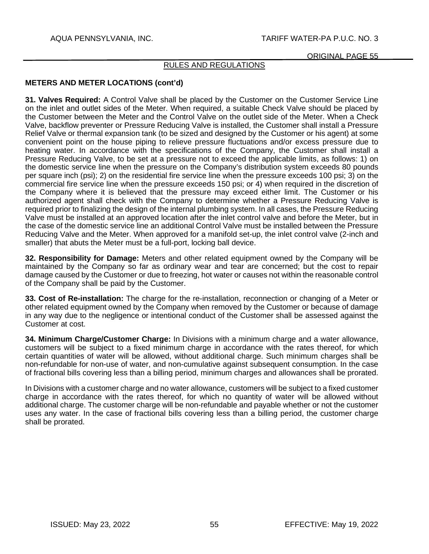## RULES AND REGULATIONS

# **METERS AND METER LOCATIONS (cont'd)**

**31. Valves Required:** A Control Valve shall be placed by the Customer on the Customer Service Line on the inlet and outlet sides of the Meter. When required, a suitable Check Valve should be placed by the Customer between the Meter and the Control Valve on the outlet side of the Meter. When a Check Valve, backflow preventer or Pressure Reducing Valve is installed, the Customer shall install a Pressure Relief Valve or thermal expansion tank (to be sized and designed by the Customer or his agent) at some convenient point on the house piping to relieve pressure fluctuations and/or excess pressure due to heating water. In accordance with the specifications of the Company, the Customer shall install a Pressure Reducing Valve, to be set at a pressure not to exceed the applicable limits, as follows: 1) on the domestic service line when the pressure on the Company's distribution system exceeds 80 pounds per square inch (psi); 2) on the residential fire service line when the pressure exceeds 100 psi; 3) on the commercial fire service line when the pressure exceeds 150 psi; or 4) when required in the discretion of the Company where it is believed that the pressure may exceed either limit. The Customer or his authorized agent shall check with the Company to determine whether a Pressure Reducing Valve is required prior to finalizing the design of the internal plumbing system. In all cases, the Pressure Reducing Valve must be installed at an approved location after the inlet control valve and before the Meter, but in the case of the domestic service line an additional Control Valve must be installed between the Pressure Reducing Valve and the Meter. When approved for a manifold set-up, the inlet control valve (2-inch and smaller) that abuts the Meter must be a full-port, locking ball device.

**32. Responsibility for Damage:** Meters and other related equipment owned by the Company will be maintained by the Company so far as ordinary wear and tear are concerned; but the cost to repair damage caused by the Customer or due to freezing, hot water or causes not within the reasonable control of the Company shall be paid by the Customer.

**33. Cost of Re-installation:** The charge for the re-installation, reconnection or changing of a Meter or other related equipment owned by the Company when removed by the Customer or because of damage in any way due to the negligence or intentional conduct of the Customer shall be assessed against the Customer at cost.

**34. Minimum Charge/Customer Charge:** In Divisions with a minimum charge and a water allowance, customers will be subject to a fixed minimum charge in accordance with the rates thereof, for which certain quantities of water will be allowed, without additional charge. Such minimum charges shall be non-refundable for non-use of water, and non-cumulative against subsequent consumption. In the case of fractional bills covering less than a billing period, minimum charges and allowances shall be prorated.

In Divisions with a customer charge and no water allowance, customers will be subject to a fixed customer charge in accordance with the rates thereof, for which no quantity of water will be allowed without additional charge. The customer charge will be non-refundable and payable whether or not the customer uses any water. In the case of fractional bills covering less than a billing period, the customer charge shall be prorated.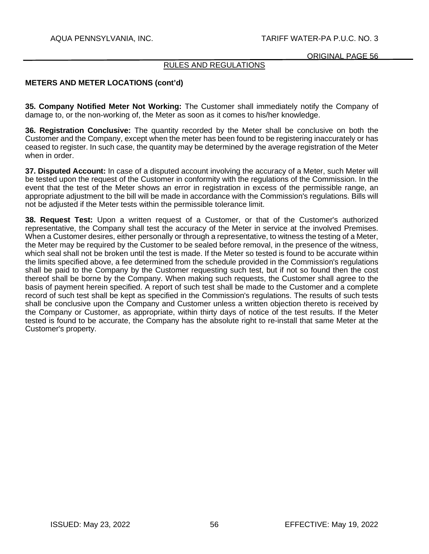ORIGINAL PAGE 56

# RULES AND REGULATIONS

## **METERS AND METER LOCATIONS (cont'd)**

**35. Company Notified Meter Not Working:** The Customer shall immediately notify the Company of damage to, or the non-working of, the Meter as soon as it comes to his/her knowledge.

**36. Registration Conclusive:** The quantity recorded by the Meter shall be conclusive on both the Customer and the Company, except when the meter has been found to be registering inaccurately or has ceased to register. In such case, the quantity may be determined by the average registration of the Meter when in order.

**37. Disputed Account:** In case of a disputed account involving the accuracy of a Meter, such Meter will be tested upon the request of the Customer in conformity with the regulations of the Commission. In the event that the test of the Meter shows an error in registration in excess of the permissible range, an appropriate adjustment to the bill will be made in accordance with the Commission's regulations. Bills will not be adjusted if the Meter tests within the permissible tolerance limit.

**38. Request Test:** Upon a written request of a Customer, or that of the Customer's authorized representative, the Company shall test the accuracy of the Meter in service at the involved Premises. When a Customer desires, either personally or through a representative, to witness the testing of a Meter, the Meter may be required by the Customer to be sealed before removal, in the presence of the witness, which seal shall not be broken until the test is made. If the Meter so tested is found to be accurate within the limits specified above, a fee determined from the schedule provided in the Commission's regulations shall be paid to the Company by the Customer requesting such test, but if not so found then the cost thereof shall be borne by the Company. When making such requests, the Customer shall agree to the basis of payment herein specified. A report of such test shall be made to the Customer and a complete record of such test shall be kept as specified in the Commission's regulations. The results of such tests shall be conclusive upon the Company and Customer unless a written objection thereto is received by the Company or Customer, as appropriate, within thirty days of notice of the test results. If the Meter tested is found to be accurate, the Company has the absolute right to re-install that same Meter at the Customer's property.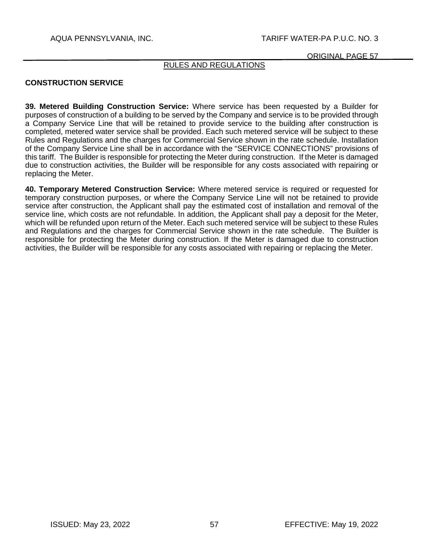ORIGINAL PAGE 57

# RULES AND REGULATIONS

## **CONSTRUCTION SERVICE**

**39. Metered Building Construction Service:** Where service has been requested by a Builder for purposes of construction of a building to be served by the Company and service is to be provided through a Company Service Line that will be retained to provide service to the building after construction is completed, metered water service shall be provided. Each such metered service will be subject to these Rules and Regulations and the charges for Commercial Service shown in the rate schedule. Installation of the Company Service Line shall be in accordance with the "SERVICE CONNECTIONS" provisions of this tariff. The Builder is responsible for protecting the Meter during construction. If the Meter is damaged due to construction activities, the Builder will be responsible for any costs associated with repairing or replacing the Meter.

**40. Temporary Metered Construction Service:** Where metered service is required or requested for temporary construction purposes, or where the Company Service Line will not be retained to provide service after construction, the Applicant shall pay the estimated cost of installation and removal of the service line, which costs are not refundable. In addition, the Applicant shall pay a deposit for the Meter, which will be refunded upon return of the Meter. Each such metered service will be subject to these Rules and Regulations and the charges for Commercial Service shown in the rate schedule. The Builder is responsible for protecting the Meter during construction. If the Meter is damaged due to construction activities, the Builder will be responsible for any costs associated with repairing or replacing the Meter.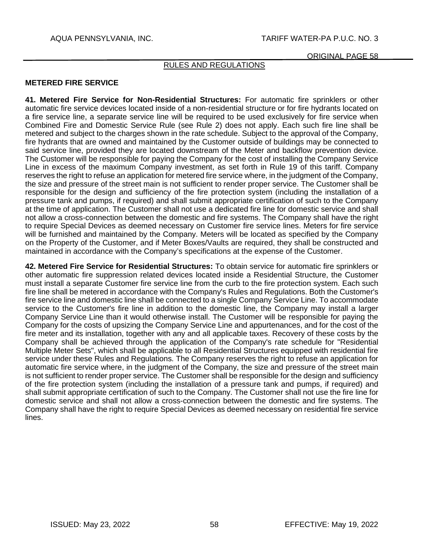# RULES AND REGULATIONS

# **METERED FIRE SERVICE**

**41. Metered Fire Service for Non-Residential Structures:** For automatic fire sprinklers or other automatic fire service devices located inside of a non-residential structure or for fire hydrants located on a fire service line, a separate service line will be required to be used exclusively for fire service when Combined Fire and Domestic Service Rule (see Rule 2) does not apply. Each such fire line shall be metered and subject to the charges shown in the rate schedule. Subject to the approval of the Company, fire hydrants that are owned and maintained by the Customer outside of buildings may be connected to said service line, provided they are located downstream of the Meter and backflow prevention device. The Customer will be responsible for paying the Company for the cost of installing the Company Service Line in excess of the maximum Company investment, as set forth in Rule 19 of this tariff. Company reserves the right to refuse an application for metered fire service where, in the judgment of the Company, the size and pressure of the street main is not sufficient to render proper service. The Customer shall be responsible for the design and sufficiency of the fire protection system (including the installation of a pressure tank and pumps, if required) and shall submit appropriate certification of such to the Company at the time of application. The Customer shall not use a dedicated fire line for domestic service and shall not allow a cross-connection between the domestic and fire systems. The Company shall have the right to require Special Devices as deemed necessary on Customer fire service lines. Meters for fire service will be furnished and maintained by the Company. Meters will be located as specified by the Company on the Property of the Customer, and if Meter Boxes/Vaults are required, they shall be constructed and maintained in accordance with the Company's specifications at the expense of the Customer.

**42. Metered Fire Service for Residential Structures:** To obtain service for automatic fire sprinklers or other automatic fire suppression related devices located inside a Residential Structure, the Customer must install a separate Customer fire service line from the curb to the fire protection system. Each such fire line shall be metered in accordance with the Company's Rules and Regulations. Both the Customer's fire service line and domestic line shall be connected to a single Company Service Line. To accommodate service to the Customer's fire line in addition to the domestic line, the Company may install a larger Company Service Line than it would otherwise install. The Customer will be responsible for paying the Company for the costs of upsizing the Company Service Line and appurtenances, and for the cost of the fire meter and its installation, together with any and all applicable taxes. Recovery of these costs by the Company shall be achieved through the application of the Company's rate schedule for "Residential Multiple Meter Sets", which shall be applicable to all Residential Structures equipped with residential fire service under these Rules and Regulations. The Company reserves the right to refuse an application for automatic fire service where, in the judgment of the Company, the size and pressure of the street main is not sufficient to render proper service. The Customer shall be responsible for the design and sufficiency of the fire protection system (including the installation of a pressure tank and pumps, if required) and shall submit appropriate certification of such to the Company. The Customer shall not use the fire line for domestic service and shall not allow a cross-connection between the domestic and fire systems. The Company shall have the right to require Special Devices as deemed necessary on residential fire service lines.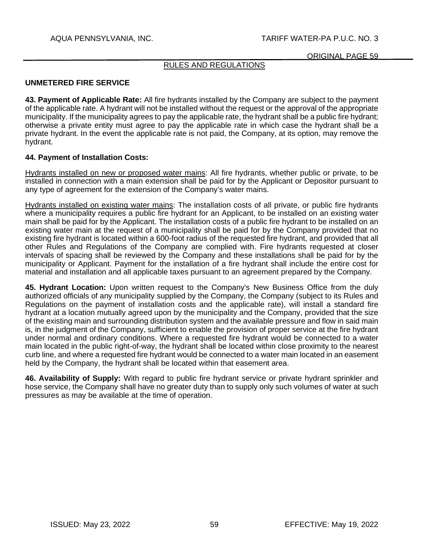# RULES AND REGULATIONS

### **UNMETERED FIRE SERVICE**

**43. Payment of Applicable Rate:** All fire hydrants installed by the Company are subject to the payment of the applicable rate. A hydrant will not be installed without the request or the approval of the appropriate municipality. If the municipality agrees to pay the applicable rate, the hydrant shall be a public fire hydrant; otherwise a private entity must agree to pay the applicable rate in which case the hydrant shall be a private hydrant. In the event the applicable rate is not paid, the Company, at its option, may remove the hydrant.

## **44. Payment of Installation Costs:**

Hydrants installed on new or proposed water mains: All fire hydrants, whether public or private, to be installed in connection with a main extension shall be paid for by the Applicant or Depositor pursuant to any type of agreement for the extension of the Company's water mains.

Hydrants installed on existing water mains: The installation costs of all private, or public fire hydrants where a municipality requires a public fire hydrant for an Applicant, to be installed on an existing water main shall be paid for by the Applicant. The installation costs of a public fire hydrant to be installed on an existing water main at the request of a municipality shall be paid for by the Company provided that no existing fire hydrant is located within a 600-foot radius of the requested fire hydrant, and provided that all other Rules and Regulations of the Company are complied with. Fire hydrants requested at closer intervals of spacing shall be reviewed by the Company and these installations shall be paid for by the municipality or Applicant. Payment for the installation of a fire hydrant shall include the entire cost for material and installation and all applicable taxes pursuant to an agreement prepared by the Company.

**45. Hydrant Location:** Upon written request to the Company's New Business Office from the duly authorized officials of any municipality supplied by the Company, the Company (subject to its Rules and Regulations on the payment of installation costs and the applicable rate), will install a standard fire hydrant at a location mutually agreed upon by the municipality and the Company, provided that the size of the existing main and surrounding distribution system and the available pressure and flow in said main is, in the judgment of the Company, sufficient to enable the provision of proper service at the fire hydrant under normal and ordinary conditions. Where a requested fire hydrant would be connected to a water main located in the public right-of-way, the hydrant shall be located within close proximity to the nearest curb line, and where a requested fire hydrant would be connected to a water main located in an easement held by the Company, the hydrant shall be located within that easement area.

**46. Availability of Supply:** With regard to public fire hydrant service or private hydrant sprinkler and hose service, the Company shall have no greater duty than to supply only such volumes of water at such pressures as may be available at the time of operation.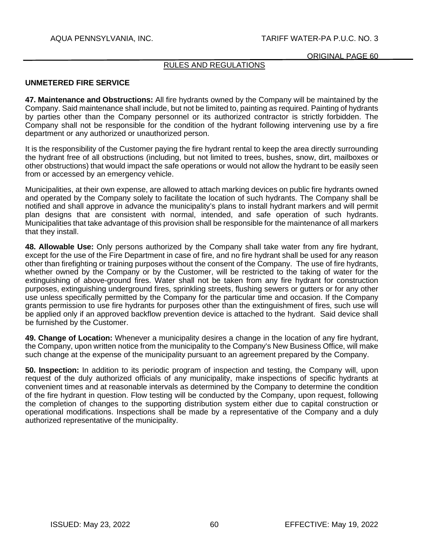# RULES AND REGULATIONS

### **UNMETERED FIRE SERVICE**

**47. Maintenance and Obstructions:** All fire hydrants owned by the Company will be maintained by the Company. Said maintenance shall include, but not be limited to, painting as required. Painting of hydrants by parties other than the Company personnel or its authorized contractor is strictly forbidden. The Company shall not be responsible for the condition of the hydrant following intervening use by a fire department or any authorized or unauthorized person.

It is the responsibility of the Customer paying the fire hydrant rental to keep the area directly surrounding the hydrant free of all obstructions (including, but not limited to trees, bushes, snow, dirt, mailboxes or other obstructions) that would impact the safe operations or would not allow the hydrant to be easily seen from or accessed by an emergency vehicle.

Municipalities, at their own expense, are allowed to attach marking devices on public fire hydrants owned and operated by the Company solely to facilitate the location of such hydrants. The Company shall be notified and shall approve in advance the municipality's plans to install hydrant markers and will permit plan designs that are consistent with normal, intended, and safe operation of such hydrants. Municipalities that take advantage of this provision shall be responsible for the maintenance of all markers that they install.

**48. Allowable Use:** Only persons authorized by the Company shall take water from any fire hydrant, except for the use of the Fire Department in case of fire, and no fire hydrant shall be used for any reason other than firefighting or training purposes without the consent of the Company. The use of fire hydrants, whether owned by the Company or by the Customer, will be restricted to the taking of water for the extinguishing of above-ground fires. Water shall not be taken from any fire hydrant for construction purposes, extinguishing underground fires, sprinkling streets, flushing sewers or gutters or for any other use unless specifically permitted by the Company for the particular time and occasion. If the Company grants permission to use fire hydrants for purposes other than the extinguishment of fires, such use will be applied only if an approved backflow prevention device is attached to the hydrant. Said device shall be furnished by the Customer.

**49. Change of Location:** Whenever a municipality desires a change in the location of any fire hydrant, the Company, upon written notice from the municipality to the Company's New Business Office, will make such change at the expense of the municipality pursuant to an agreement prepared by the Company.

**50. Inspection:** In addition to its periodic program of inspection and testing, the Company will, upon request of the duly authorized officials of any municipality, make inspections of specific hydrants at convenient times and at reasonable intervals as determined by the Company to determine the condition of the fire hydrant in question. Flow testing will be conducted by the Company, upon request, following the completion of changes to the supporting distribution system either due to capital construction or operational modifications. Inspections shall be made by a representative of the Company and a duly authorized representative of the municipality.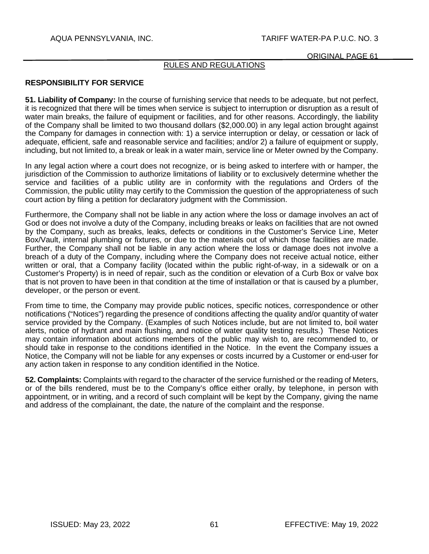# RULES AND REGULATIONS

### **RESPONSIBILITY FOR SERVICE**

**51. Liability of Company:** In the course of furnishing service that needs to be adequate, but not perfect, it is recognized that there will be times when service is subject to interruption or disruption as a result of water main breaks, the failure of equipment or facilities, and for other reasons. Accordingly, the liability of the Company shall be limited to two thousand dollars (\$2,000.00) in any legal action brought against the Company for damages in connection with: 1) a service interruption or delay, or cessation or lack of adequate, efficient, safe and reasonable service and facilities; and/or 2) a failure of equipment or supply, including, but not limited to, a break or leak in a water main, service line or Meter owned by the Company.

In any legal action where a court does not recognize, or is being asked to interfere with or hamper, the jurisdiction of the Commission to authorize limitations of liability or to exclusively determine whether the service and facilities of a public utility are in conformity with the regulations and Orders of the Commission, the public utility may certify to the Commission the question of the appropriateness of such court action by filing a petition for declaratory judgment with the Commission.

Furthermore, the Company shall not be liable in any action where the loss or damage involves an act of God or does not involve a duty of the Company, including breaks or leaks on facilities that are not owned by the Company, such as breaks, leaks, defects or conditions in the Customer's Service Line, Meter Box/Vault, internal plumbing or fixtures, or due to the materials out of which those facilities are made. Further, the Company shall not be liable in any action where the loss or damage does not involve a breach of a duty of the Company, including where the Company does not receive actual notice, either written or oral, that a Company facility (located within the public right-of-way, in a sidewalk or on a Customer's Property) is in need of repair, such as the condition or elevation of a Curb Box or valve box that is not proven to have been in that condition at the time of installation or that is caused by a plumber, developer, or the person or event.

From time to time, the Company may provide public notices, specific notices, correspondence or other notifications ("Notices") regarding the presence of conditions affecting the quality and/or quantity of water service provided by the Company. (Examples of such Notices include, but are not limited to, boil water alerts, notice of hydrant and main flushing, and notice of water quality testing results.) These Notices may contain information about actions members of the public may wish to, are recommended to, or should take in response to the conditions identified in the Notice. In the event the Company issues a Notice, the Company will not be liable for any expenses or costs incurred by a Customer or end-user for any action taken in response to any condition identified in the Notice.

**52. Complaints:** Complaints with regard to the character of the service furnished or the reading of Meters, or of the bills rendered, must be to the Company's office either orally, by telephone, in person with appointment, or in writing, and a record of such complaint will be kept by the Company, giving the name and address of the complainant, the date, the nature of the complaint and the response.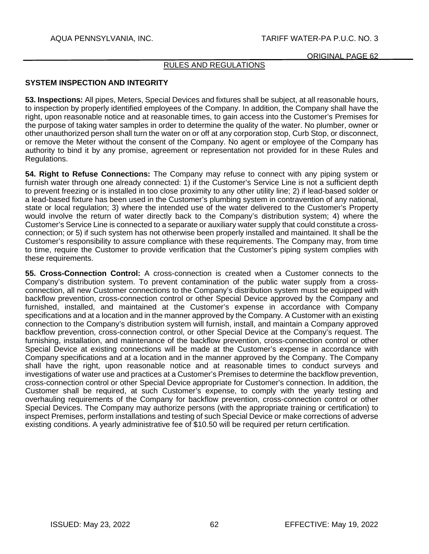## RULES AND REGULATIONS

### **SYSTEM INSPECTION AND INTEGRITY**

**53. Inspections:** All pipes, Meters, Special Devices and fixtures shall be subject, at all reasonable hours, to inspection by properly identified employees of the Company. In addition, the Company shall have the right, upon reasonable notice and at reasonable times, to gain access into the Customer's Premises for the purpose of taking water samples in order to determine the quality of the water. No plumber, owner or other unauthorized person shall turn the water on or off at any corporation stop, Curb Stop, or disconnect, or remove the Meter without the consent of the Company. No agent or employee of the Company has authority to bind it by any promise, agreement or representation not provided for in these Rules and Regulations.

**54. Right to Refuse Connections:** The Company may refuse to connect with any piping system or furnish water through one already connected: 1) if the Customer's Service Line is not a sufficient depth to prevent freezing or is installed in too close proximity to any other utility line; 2) if lead-based solder or a lead-based fixture has been used in the Customer's plumbing system in contravention of any national, state or local regulation; 3) where the intended use of the water delivered to the Customer's Property would involve the return of water directly back to the Company's distribution system; 4) where the Customer's Service Line is connected to a separate or auxiliary water supply that could constitute a crossconnection; or 5) if such system has not otherwise been properly installed and maintained. It shall be the Customer's responsibility to assure compliance with these requirements. The Company may, from time to time, require the Customer to provide verification that the Customer's piping system complies with these requirements.

**55. Cross-Connection Control:** A cross-connection is created when a Customer connects to the Company's distribution system. To prevent contamination of the public water supply from a crossconnection, all new Customer connections to the Company's distribution system must be equipped with backflow prevention, cross-connection control or other Special Device approved by the Company and furnished, installed, and maintained at the Customer's expense in accordance with Company specifications and at a location and in the manner approved by the Company. A Customer with an existing connection to the Company's distribution system will furnish, install, and maintain a Company approved backflow prevention, cross-connection control, or other Special Device at the Company's request. The furnishing, installation, and maintenance of the backflow prevention, cross-connection control or other Special Device at existing connections will be made at the Customer's expense in accordance with Company specifications and at a location and in the manner approved by the Company. The Company shall have the right, upon reasonable notice and at reasonable times to conduct surveys and investigations of water use and practices at a Customer's Premises to determine the backflow prevention, cross-connection control or other Special Device appropriate for Customer's connection. In addition, the Customer shall be required, at such Customer's expense, to comply with the yearly testing and overhauling requirements of the Company for backflow prevention, cross-connection control or other Special Devices. The Company may authorize persons (with the appropriate training or certification) to inspect Premises, perform installations and testing of such Special Device or make corrections of adverse existing conditions. A yearly administrative fee of \$10.50 will be required per return certification.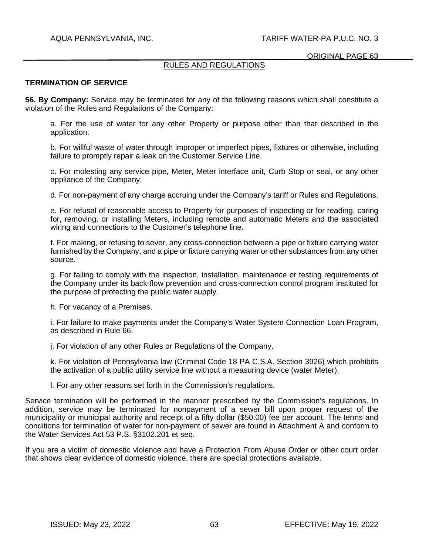## RULES AND REGULATIONS

### **TERMINATION OF SERVICE**

**56. By Company:** Service may be terminated for any of the following reasons which shall constitute a violation of the Rules and Regulations of the Company:

a. For the use of water for any other Property or purpose other than that described in the application.

b. For willful waste of water through improper or imperfect pipes, fixtures or otherwise, including failure to promptly repair a leak on the Customer Service Line.

c. For molesting any service pipe, Meter, Meter interface unit, Curb Stop or seal, or any other appliance of the Company.

d. For non-payment of any charge accruing under the Company's tariff or Rules and Regulations.

e. For refusal of reasonable access to Property for purposes of inspecting or for reading, caring for, removing, or installing Meters, including remote and automatic Meters and the associated wiring and connections to the Customer's telephone line.

f. For making, or refusing to sever, any cross-connection between a pipe or fixture carrying water furnished by the Company, and a pipe or fixture carrying water or other substances from any other source.

g. For failing to comply with the inspection, installation, maintenance or testing requirements of the Company under its back-flow prevention and cross-connection control program instituted for the purpose of protecting the public water supply.

h. For vacancy of a Premises.

i. For failure to make payments under the Company's Water System Connection Loan Program, as described in Rule 66.

j. For violation of any other Rules or Regulations of the Company.

k. For violation of Pennsylvania law (Criminal Code 18 PA C.S.A. Section 3926) which prohibits the activation of a public utility service line without a measuring device (water Meter).

l. For any other reasons set forth in the Commission's regulations.

Service termination will be performed in the manner prescribed by the Commission's regulations. In addition, service may be terminated for nonpayment of a sewer bill upon proper request of the municipality or municipal authority and receipt of a fifty dollar (\$50.00) fee per account. The terms and conditions for termination of water for non-payment of sewer are found in Attachment A and conform to the Water Services Act 53 P.S. §3102.201 et seq.

If you are a victim of domestic violence and have a Protection From Abuse Order or other court order that shows clear evidence of domestic violence, there are special protections available.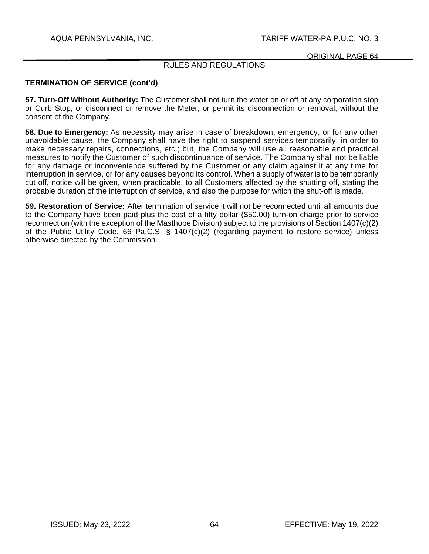# RULES AND REGULATIONS

# **TERMINATION OF SERVICE (cont'd)**

**57. Turn-Off Without Authority:** The Customer shall not turn the water on or off at any corporation stop or Curb Stop, or disconnect or remove the Meter, or permit its disconnection or removal, without the consent of the Company.

**58. Due to Emergency:** As necessity may arise in case of breakdown, emergency, or for any other unavoidable cause, the Company shall have the right to suspend services temporarily, in order to make necessary repairs, connections, etc.; but, the Company will use all reasonable and practical measures to notify the Customer of such discontinuance of service. The Company shall not be liable for any damage or inconvenience suffered by the Customer or any claim against it at any time for interruption in service, or for any causes beyond its control. When a supply of water is to be temporarily cut off, notice will be given, when practicable, to all Customers affected by the shutting off, stating the probable duration of the interruption of service, and also the purpose for which the shut-off is made.

**59. Restoration of Service:** After termination of service it will not be reconnected until all amounts due to the Company have been paid plus the cost of a fifty dollar (\$50.00) turn-on charge prior to service reconnection (with the exception of the Masthope Division) subject to the provisions of Section 1407(c)(2) of the Public Utility Code, 66 Pa.C.S. § 1407(c)(2) (regarding payment to restore service) unless otherwise directed by the Commission.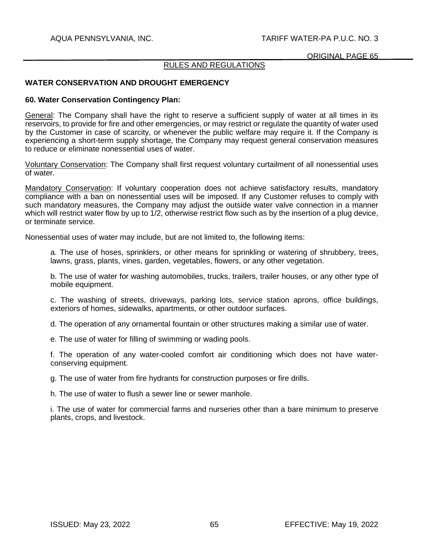## AQUA PENNSYLVANIA, INC. TARIFF WATER-PA P.U.C. NO. 3

#### ORIGINAL PAGE 65

#### RULES AND REGULATIONS

## **WATER CONSERVATION AND DROUGHT EMERGENCY**

#### **60. Water Conservation Contingency Plan:**

General: The Company shall have the right to reserve a sufficient supply of water at all times in its reservoirs, to provide for fire and other emergencies, or may restrict or regulate the quantity of water used by the Customer in case of scarcity, or whenever the public welfare may require it. If the Company is experiencing a short-term supply shortage, the Company may request general conservation measures to reduce or eliminate nonessential uses of water.

Voluntary Conservation: The Company shall first request voluntary curtailment of all nonessential uses of water.

Mandatory Conservation: If voluntary cooperation does not achieve satisfactory results, mandatory compliance with a ban on nonessential uses will be imposed. If any Customer refuses to comply with such mandatory measures, the Company may adjust the outside water valve connection in a manner which will restrict water flow by up to 1/2, otherwise restrict flow such as by the insertion of a plug device, or terminate service.

Nonessential uses of water may include, but are not limited to, the following items:

a. The use of hoses, sprinklers, or other means for sprinkling or watering of shrubbery, trees, lawns, grass, plants, vines, garden, vegetables, flowers, or any other vegetation.

b. The use of water for washing automobiles, trucks, trailers, trailer houses, or any other type of mobile equipment.

c. The washing of streets, driveways, parking lots, service station aprons, office buildings, exteriors of homes, sidewalks, apartments, or other outdoor surfaces.

d. The operation of any ornamental fountain or other structures making a similar use of water.

e. The use of water for filling of swimming or wading pools.

f. The operation of any water-cooled comfort air conditioning which does not have waterconserving equipment.

g. The use of water from fire hydrants for construction purposes or fire drills.

h. The use of water to flush a sewer line or sewer manhole.

i. The use of water for commercial farms and nurseries other than a bare minimum to preserve plants, crops, and livestock.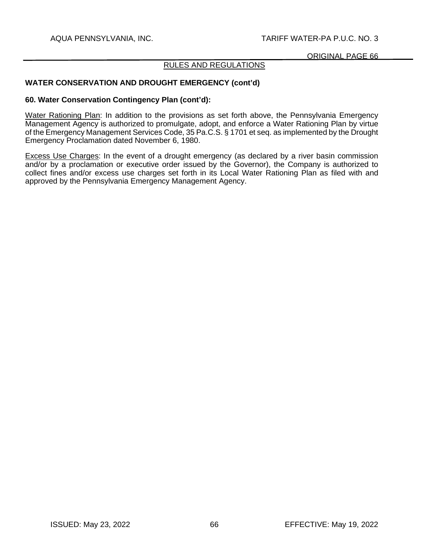## RULES AND REGULATIONS

## **WATER CONSERVATION AND DROUGHT EMERGENCY (cont'd)**

#### **60. Water Conservation Contingency Plan (cont'd):**

Water Rationing Plan: In addition to the provisions as set forth above, the Pennsylvania Emergency Management Agency is authorized to promulgate, adopt, and enforce a Water Rationing Plan by virtue of the Emergency Management Services Code, 35 Pa.C.S. § 1701 et seq. as implemented by the Drought Emergency Proclamation dated November 6, 1980.

Excess Use Charges: In the event of a drought emergency (as declared by a river basin commission and/or by a proclamation or executive order issued by the Governor), the Company is authorized to collect fines and/or excess use charges set forth in its Local Water Rationing Plan as filed with and approved by the Pennsylvania Emergency Management Agency.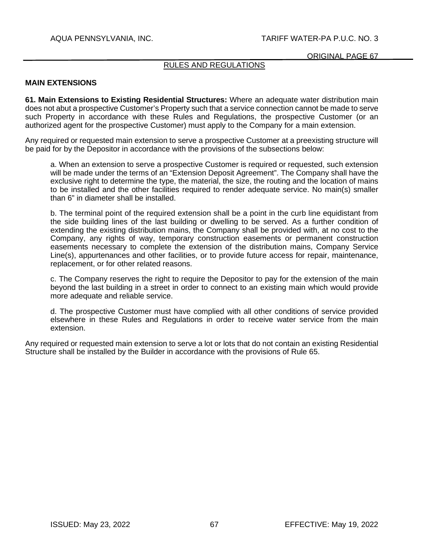## RULES AND REGULATIONS

#### **MAIN EXTENSIONS**

**61. Main Extensions to Existing Residential Structures:** Where an adequate water distribution main does not abut a prospective Customer's Property such that a service connection cannot be made to serve such Property in accordance with these Rules and Regulations, the prospective Customer (or an authorized agent for the prospective Customer) must apply to the Company for a main extension.

Any required or requested main extension to serve a prospective Customer at a preexisting structure will be paid for by the Depositor in accordance with the provisions of the subsections below:

a. When an extension to serve a prospective Customer is required or requested, such extension will be made under the terms of an "Extension Deposit Agreement". The Company shall have the exclusive right to determine the type, the material, the size, the routing and the location of mains to be installed and the other facilities required to render adequate service. No main(s) smaller than 6" in diameter shall be installed.

b. The terminal point of the required extension shall be a point in the curb line equidistant from the side building lines of the last building or dwelling to be served. As a further condition of extending the existing distribution mains, the Company shall be provided with, at no cost to the Company, any rights of way, temporary construction easements or permanent construction easements necessary to complete the extension of the distribution mains, Company Service Line(s), appurtenances and other facilities, or to provide future access for repair, maintenance, replacement, or for other related reasons.

c. The Company reserves the right to require the Depositor to pay for the extension of the main beyond the last building in a street in order to connect to an existing main which would provide more adequate and reliable service.

d. The prospective Customer must have complied with all other conditions of service provided elsewhere in these Rules and Regulations in order to receive water service from the main extension.

Any required or requested main extension to serve a lot or lots that do not contain an existing Residential Structure shall be installed by the Builder in accordance with the provisions of Rule 65.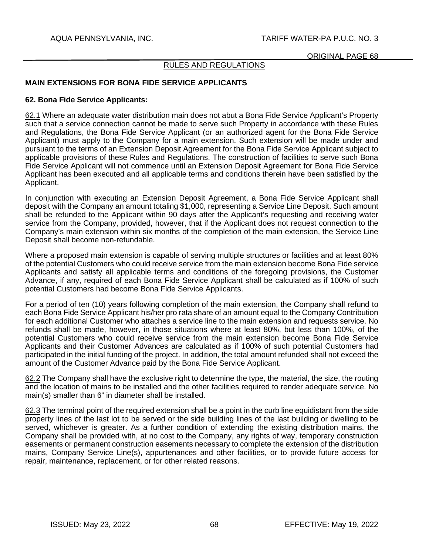## RULES AND REGULATIONS

## **MAIN EXTENSIONS FOR BONA FIDE SERVICE APPLICANTS**

#### **62. Bona Fide Service Applicants:**

62.1 Where an adequate water distribution main does not abut a Bona Fide Service Applicant's Property such that a service connection cannot be made to serve such Property in accordance with these Rules and Regulations, the Bona Fide Service Applicant (or an authorized agent for the Bona Fide Service Applicant) must apply to the Company for a main extension. Such extension will be made under and pursuant to the terms of an Extension Deposit Agreement for the Bona Fide Service Applicant subject to applicable provisions of these Rules and Regulations. The construction of facilities to serve such Bona Fide Service Applicant will not commence until an Extension Deposit Agreement for Bona Fide Service Applicant has been executed and all applicable terms and conditions therein have been satisfied by the Applicant.

In conjunction with executing an Extension Deposit Agreement, a Bona Fide Service Applicant shall deposit with the Company an amount totaling \$1,000, representing a Service Line Deposit. Such amount shall be refunded to the Applicant within 90 days after the Applicant's requesting and receiving water service from the Company, provided, however, that if the Applicant does not request connection to the Company's main extension within six months of the completion of the main extension, the Service Line Deposit shall become non-refundable.

Where a proposed main extension is capable of serving multiple structures or facilities and at least 80% of the potential Customers who could receive service from the main extension become Bona Fide service Applicants and satisfy all applicable terms and conditions of the foregoing provisions, the Customer Advance, if any, required of each Bona Fide Service Applicant shall be calculated as if 100% of such potential Customers had become Bona Fide Service Applicants.

For a period of ten (10) years following completion of the main extension, the Company shall refund to each Bona Fide Service Applicant his/her pro rata share of an amount equal to the Company Contribution for each additional Customer who attaches a service line to the main extension and requests service. No refunds shall be made, however, in those situations where at least 80%, but less than 100%, of the potential Customers who could receive service from the main extension become Bona Fide Service Applicants and their Customer Advances are calculated as if 100% of such potential Customers had participated in the initial funding of the project. In addition, the total amount refunded shall not exceed the amount of the Customer Advance paid by the Bona Fide Service Applicant.

62.2 The Company shall have the exclusive right to determine the type, the material, the size, the routing and the location of mains to be installed and the other facilities required to render adequate service. No main(s) smaller than 6" in diameter shall be installed.

62.3 The terminal point of the required extension shall be a point in the curb line equidistant from the side property lines of the last lot to be served or the side building lines of the last building or dwelling to be served, whichever is greater. As a further condition of extending the existing distribution mains, the Company shall be provided with, at no cost to the Company, any rights of way, temporary construction easements or permanent construction easements necessary to complete the extension of the distribution mains, Company Service Line(s), appurtenances and other facilities, or to provide future access for repair, maintenance, replacement, or for other related reasons.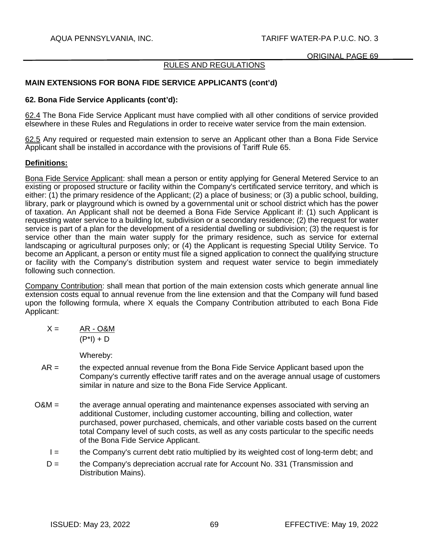## RULES AND REGULATIONS

## **MAIN EXTENSIONS FOR BONA FIDE SERVICE APPLICANTS (cont'd)**

## **62. Bona Fide Service Applicants (cont'd):**

62.4 The Bona Fide Service Applicant must have complied with all other conditions of service provided elsewhere in these Rules and Regulations in order to receive water service from the main extension.

62.5 Any required or requested main extension to serve an Applicant other than a Bona Fide Service Applicant shall be installed in accordance with the provisions of Tariff Rule 65.

## **Definitions:**

Bona Fide Service Applicant: shall mean a person or entity applying for General Metered Service to an existing or proposed structure or facility within the Company's certificated service territory, and which is either: (1) the primary residence of the Applicant; (2) a place of business; or (3) a public school, building, library, park or playground which is owned by a governmental unit or school district which has the power of taxation. An Applicant shall not be deemed a Bona Fide Service Applicant if: (1) such Applicant is requesting water service to a building lot, subdivision or a secondary residence; (2) the request for water service is part of a plan for the development of a residential dwelling or subdivision; (3) the request is for service other than the main water supply for the primary residence, such as service for external landscaping or agricultural purposes only; or (4) the Applicant is requesting Special Utility Service. To become an Applicant, a person or entity must file a signed application to connect the qualifying structure or facility with the Company's distribution system and request water service to begin immediately following such connection.

Company Contribution: shall mean that portion of the main extension costs which generate annual line extension costs equal to annual revenue from the line extension and that the Company will fund based upon the following formula, where X equals the Company Contribution attributed to each Bona Fide Applicant:

$$
X = \frac{AR - O&M}{(P^*I) + D}
$$

Whereby:

- $AR =$  the expected annual revenue from the Bona Fide Service Applicant based upon the Company's currently effective tariff rates and on the average annual usage of customers similar in nature and size to the Bona Fide Service Applicant.
- O&M = the average annual operating and maintenance expenses associated with serving an additional Customer, including customer accounting, billing and collection, water purchased, power purchased, chemicals, and other variable costs based on the current total Company level of such costs, as well as any costs particular to the specific needs of the Bona Fide Service Applicant.
	- I = the Company's current debt ratio multiplied by its weighted cost of long-term debt; and
	- $D =$  the Company's depreciation accrual rate for Account No. 331 (Transmission and Distribution Mains).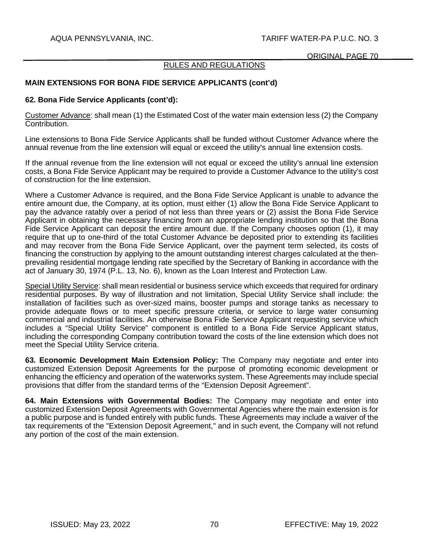## RULES AND REGULATIONS

## **MAIN EXTENSIONS FOR BONA FIDE SERVICE APPLICANTS (cont'd)**

#### **62. Bona Fide Service Applicants (cont'd):**

Customer Advance: shall mean (1) the Estimated Cost of the water main extension less (2) the Company Contribution.

Line extensions to Bona Fide Service Applicants shall be funded without Customer Advance where the annual revenue from the line extension will equal or exceed the utility's annual line extension costs.

If the annual revenue from the line extension will not equal or exceed the utility's annual line extension costs, a Bona Fide Service Applicant may be required to provide a Customer Advance to the utility's cost of construction for the line extension.

Where a Customer Advance is required, and the Bona Fide Service Applicant is unable to advance the entire amount due, the Company, at its option, must either (1) allow the Bona Fide Service Applicant to pay the advance ratably over a period of not less than three years or (2) assist the Bona Fide Service Applicant in obtaining the necessary financing from an appropriate lending institution so that the Bona Fide Service Applicant can deposit the entire amount due. If the Company chooses option (1), it may require that up to one-third of the total Customer Advance be deposited prior to extending its facilities and may recover from the Bona Fide Service Applicant, over the payment term selected, its costs of financing the construction by applying to the amount outstanding interest charges calculated at the thenprevailing residential mortgage lending rate specified by the Secretary of Banking in accordance with the act of January 30, 1974 (P.L. 13, No. 6), known as the Loan Interest and Protection Law.

Special Utility Service: shall mean residential or business service which exceeds that required for ordinary residential purposes. By way of illustration and not limitation, Special Utility Service shall include: the installation of facilities such as over-sized mains, booster pumps and storage tanks as necessary to provide adequate flows or to meet specific pressure criteria, or service to large water consuming commercial and industrial facilities. An otherwise Bona Fide Service Applicant requesting service which includes a "Special Utility Service" component is entitled to a Bona Fide Service Applicant status, including the corresponding Company contribution toward the costs of the line extension which does not meet the Special Utility Service criteria.

**63. Economic Development Main Extension Policy:** The Company may negotiate and enter into customized Extension Deposit Agreements for the purpose of promoting economic development or enhancing the efficiency and operation of the waterworks system. These Agreements may include special provisions that differ from the standard terms of the "Extension Deposit Agreement".

**64. Main Extensions with Governmental Bodies:** The Company may negotiate and enter into customized Extension Deposit Agreements with Governmental Agencies where the main extension is for a public purpose and is funded entirely with public funds. These Agreements may include a waiver of the tax requirements of the "Extension Deposit Agreement," and in such event, the Company will not refund any portion of the cost of the main extension.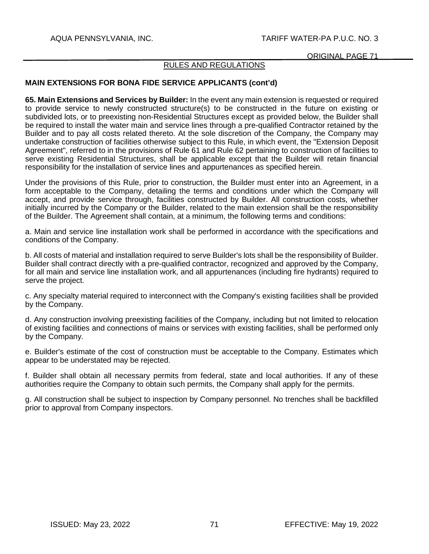## RULES AND REGULATIONS

## **MAIN EXTENSIONS FOR BONA FIDE SERVICE APPLICANTS (cont'd)**

**65. Main Extensions and Services by Builder:** In the event any main extension is requested or required to provide service to newly constructed structure(s) to be constructed in the future on existing or subdivided lots, or to preexisting non-Residential Structures except as provided below, the Builder shall be required to install the water main and service lines through a pre-qualified Contractor retained by the Builder and to pay all costs related thereto. At the sole discretion of the Company, the Company may undertake construction of facilities otherwise subject to this Rule, in which event, the "Extension Deposit Agreement", referred to in the provisions of Rule 61 and Rule 62 pertaining to construction of facilities to serve existing Residential Structures, shall be applicable except that the Builder will retain financial responsibility for the installation of service lines and appurtenances as specified herein.

Under the provisions of this Rule, prior to construction, the Builder must enter into an Agreement, in a form acceptable to the Company, detailing the terms and conditions under which the Company will accept, and provide service through, facilities constructed by Builder. All construction costs, whether initially incurred by the Company or the Builder, related to the main extension shall be the responsibility of the Builder. The Agreement shall contain, at a minimum, the following terms and conditions:

a. Main and service line installation work shall be performed in accordance with the specifications and conditions of the Company.

b. All costs of material and installation required to serve Builder's lots shall be the responsibility of Builder. Builder shall contract directly with a pre-qualified contractor, recognized and approved by the Company, for all main and service line installation work, and all appurtenances (including fire hydrants) required to serve the project.

c. Any specialty material required to interconnect with the Company's existing facilities shall be provided by the Company.

d. Any construction involving preexisting facilities of the Company, including but not limited to relocation of existing facilities and connections of mains or services with existing facilities, shall be performed only by the Company.

e. Builder's estimate of the cost of construction must be acceptable to the Company. Estimates which appear to be understated may be rejected.

f. Builder shall obtain all necessary permits from federal, state and local authorities. If any of these authorities require the Company to obtain such permits, the Company shall apply for the permits.

g. All construction shall be subject to inspection by Company personnel. No trenches shall be backfilled prior to approval from Company inspectors.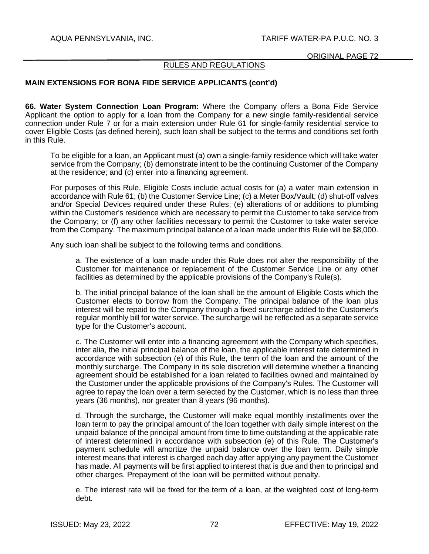## RULES AND REGULATIONS

## **MAIN EXTENSIONS FOR BONA FIDE SERVICE APPLICANTS (cont'd)**

**66. Water System Connection Loan Program:** Where the Company offers a Bona Fide Service Applicant the option to apply for a loan from the Company for a new single family-residential service connection under Rule 7 or for a main extension under Rule 61 for single-family residential service to cover Eligible Costs (as defined herein), such loan shall be subject to the terms and conditions set forth in this Rule.

To be eligible for a loan, an Applicant must (a) own a single-family residence which will take water service from the Company; (b) demonstrate intent to be the continuing Customer of the Company at the residence; and (c) enter into a financing agreement.

For purposes of this Rule, Eligible Costs include actual costs for (a) a water main extension in accordance with Rule 61; (b) the Customer Service Line; (c) a Meter Box/Vault; (d) shut-off valves and/or Special Devices required under these Rules; (e) alterations of or additions to plumbing within the Customer's residence which are necessary to permit the Customer to take service from the Company; or (f) any other facilities necessary to permit the Customer to take water service from the Company. The maximum principal balance of a loan made under this Rule will be \$8,000.

Any such loan shall be subject to the following terms and conditions.

a. The existence of a loan made under this Rule does not alter the responsibility of the Customer for maintenance or replacement of the Customer Service Line or any other facilities as determined by the applicable provisions of the Company's Rule(s).

b. The initial principal balance of the loan shall be the amount of Eligible Costs which the Customer elects to borrow from the Company. The principal balance of the loan plus interest will be repaid to the Company through a fixed surcharge added to the Customer's regular monthly bill for water service. The surcharge will be reflected as a separate service type for the Customer's account.

c. The Customer will enter into a financing agreement with the Company which specifies, inter alia, the initial principal balance of the loan, the applicable interest rate determined in accordance with subsection (e) of this Rule, the term of the loan and the amount of the monthly surcharge. The Company in its sole discretion will determine whether a financing agreement should be established for a loan related to facilities owned and maintained by the Customer under the applicable provisions of the Company's Rules. The Customer will agree to repay the loan over a term selected by the Customer, which is no less than three years (36 months), nor greater than 8 years (96 months).

d. Through the surcharge, the Customer will make equal monthly installments over the loan term to pay the principal amount of the loan together with daily simple interest on the unpaid balance of the principal amount from time to time outstanding at the applicable rate of interest determined in accordance with subsection (e) of this Rule. The Customer's payment schedule will amortize the unpaid balance over the loan term. Daily simple interest means that interest is charged each day after applying any payment the Customer has made. All payments will be first applied to interest that is due and then to principal and other charges. Prepayment of the loan will be permitted without penalty.

e. The interest rate will be fixed for the term of a loan, at the weighted cost of long-term debt.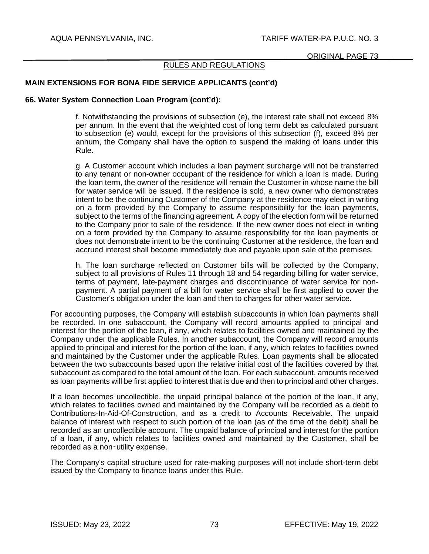## RULES AND REGULATIONS

## **MAIN EXTENSIONS FOR BONA FIDE SERVICE APPLICANTS (cont'd)**

#### **66. Water System Connection Loan Program (cont'd):**

f. Notwithstanding the provisions of subsection (e), the interest rate shall not exceed 8% per annum. In the event that the weighted cost of long term debt as calculated pursuant to subsection (e) would, except for the provisions of this subsection (f), exceed 8% per annum, the Company shall have the option to suspend the making of loans under this Rule.

g. A Customer account which includes a loan payment surcharge will not be transferred to any tenant or non-owner occupant of the residence for which a loan is made. During the loan term, the owner of the residence will remain the Customer in whose name the bill for water service will be issued. If the residence is sold, a new owner who demonstrates intent to be the continuing Customer of the Company at the residence may elect in writing on a form provided by the Company to assume responsibility for the loan payments, subject to the terms of the financing agreement. A copy of the election form will be returned to the Company prior to sale of the residence. If the new owner does not elect in writing on a form provided by the Company to assume responsibility for the loan payments or does not demonstrate intent to be the continuing Customer at the residence, the loan and accrued interest shall become immediately due and payable upon sale of the premises.

h. The loan surcharge reflected on Customer bills will be collected by the Company, subject to all provisions of Rules 11 through 18 and 54 regarding billing for water service, terms of payment, late-payment charges and discontinuance of water service for nonpayment. A partial payment of a bill for water service shall be first applied to cover the Customer's obligation under the loan and then to charges for other water service.

For accounting purposes, the Company will establish subaccounts in which loan payments shall be recorded. In one subaccount, the Company will record amounts applied to principal and interest for the portion of the loan, if any, which relates to facilities owned and maintained by the Company under the applicable Rules. In another subaccount, the Company will record amounts applied to principal and interest for the portion of the loan, if any, which relates to facilities owned and maintained by the Customer under the applicable Rules. Loan payments shall be allocated between the two subaccounts based upon the relative initial cost of the facilities covered by that subaccount as compared to the total amount of the loan. For each subaccount, amounts received as loan payments will be first applied to interest that is due and then to principal and other charges.

If a loan becomes uncollectible, the unpaid principal balance of the portion of the loan, if any, which relates to facilities owned and maintained by the Company will be recorded as a debit to Contributions-In-Aid-Of-Construction, and as a credit to Accounts Receivable. The unpaid balance of interest with respect to such portion of the loan (as of the time of the debit) shall be recorded as an uncollectible account. The unpaid balance of principal and interest for the portion of a loan, if any, which relates to facilities owned and maintained by the Customer, shall be recorded as a non‑utility expense.

The Company's capital structure used for rate-making purposes will not include short-term debt issued by the Company to finance loans under this Rule.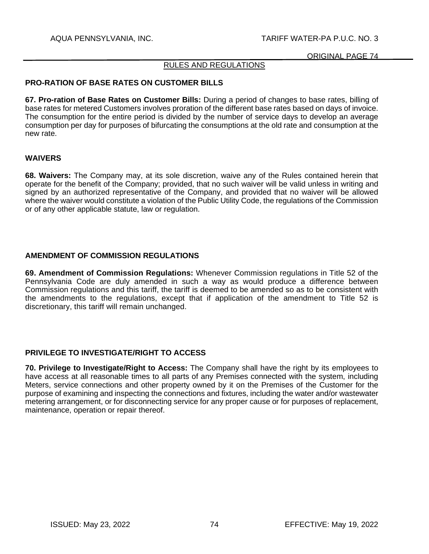## AQUA PENNSYLVANIA, INC. TARIFF WATER-PA P.U.C. NO. 3

#### ORIGINAL PAGE 74

## RULES AND REGULATIONS

#### **PRO-RATION OF BASE RATES ON CUSTOMER BILLS**

**67. Pro-ration of Base Rates on Customer Bills:** During a period of changes to base rates, billing of base rates for metered Customers involves proration of the different base rates based on days of invoice. The consumption for the entire period is divided by the number of service days to develop an average consumption per day for purposes of bifurcating the consumptions at the old rate and consumption at the new rate.

## **WAIVERS**

**68. Waivers:** The Company may, at its sole discretion, waive any of the Rules contained herein that operate for the benefit of the Company; provided, that no such waiver will be valid unless in writing and signed by an authorized representative of the Company, and provided that no waiver will be allowed where the waiver would constitute a violation of the Public Utility Code, the regulations of the Commission or of any other applicable statute, law or regulation.

#### **AMENDMENT OF COMMISSION REGULATIONS**

**69. Amendment of Commission Regulations:** Whenever Commission regulations in Title 52 of the Pennsylvania Code are duly amended in such a way as would produce a difference between Commission regulations and this tariff, the tariff is deemed to be amended so as to be consistent with the amendments to the regulations, except that if application of the amendment to Title 52 is discretionary, this tariff will remain unchanged.

#### **PRIVILEGE TO INVESTIGATE/RIGHT TO ACCESS**

**70. Privilege to Investigate/Right to Access:** The Company shall have the right by its employees to have access at all reasonable times to all parts of any Premises connected with the system, including Meters, service connections and other property owned by it on the Premises of the Customer for the purpose of examining and inspecting the connections and fixtures, including the water and/or wastewater metering arrangement, or for disconnecting service for any proper cause or for purposes of replacement, maintenance, operation or repair thereof.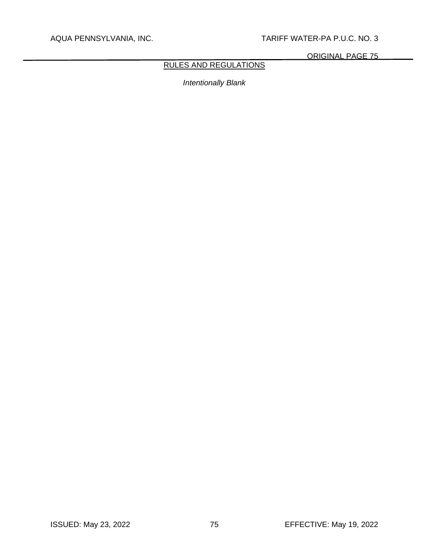## AQUA PENNSYLVANIA, INC. TARIFF WATER-PA P.U.C. NO. 3

ORIGINAL PAGE 75

# RULES AND REGULATIONS

*Intentionally Blank*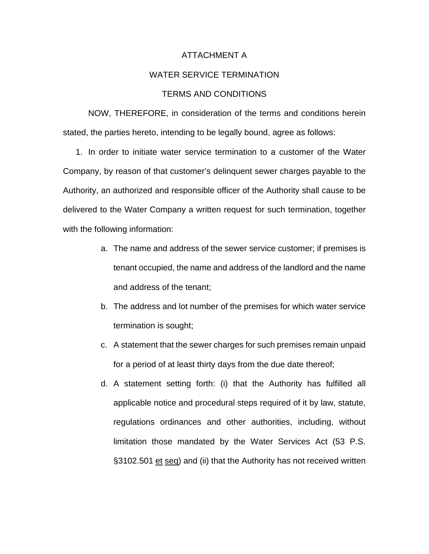#### ATTACHMENT A

## WATER SERVICE TERMINATION

## TERMS AND CONDITIONS

NOW, THEREFORE, in consideration of the terms and conditions herein stated, the parties hereto, intending to be legally bound, agree as follows:

1. In order to initiate water service termination to a customer of the Water Company, by reason of that customer's delinquent sewer charges payable to the Authority, an authorized and responsible officer of the Authority shall cause to be delivered to the Water Company a written request for such termination, together with the following information:

- a. The name and address of the sewer service customer; if premises is tenant occupied, the name and address of the landlord and the name and address of the tenant;
- b. The address and lot number of the premises for which water service termination is sought;
- c. A statement that the sewer charges for such premises remain unpaid for a period of at least thirty days from the due date thereof;
- d. A statement setting forth: (i) that the Authority has fulfilled all applicable notice and procedural steps required of it by law, statute, regulations ordinances and other authorities, including, without limitation those mandated by the Water Services Act (53 P.S. §3102.501 et seq) and (ii) that the Authority has not received written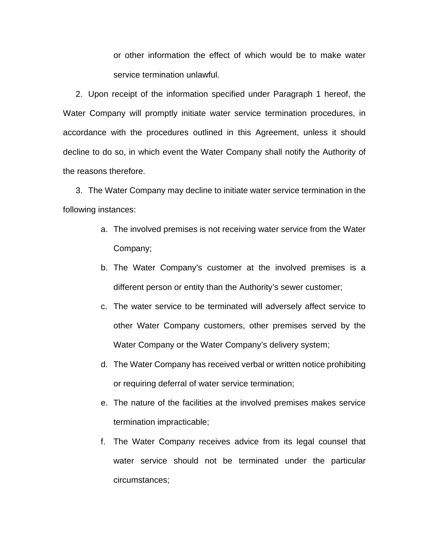or other information the effect of which would be to make water service termination unlawful.

2. Upon receipt of the information specified under Paragraph 1 hereof, the Water Company will promptly initiate water service termination procedures, in accordance with the procedures outlined in this Agreement, unless it should decline to do so, in which event the Water Company shall notify the Authority of the reasons therefore.

3. The Water Company may decline to initiate water service termination in the following instances:

- a. The involved premises is not receiving water service from the Water Company;
- b. The Water Company's customer at the involved premises is a different person or entity than the Authority's sewer customer;
- c. The water service to be terminated will adversely affect service to other Water Company customers, other premises served by the Water Company or the Water Company's delivery system;
- d. The Water Company has received verbal or written notice prohibiting or requiring deferral of water service termination;
- e. The nature of the facilities at the involved premises makes service termination impracticable;
- f. The Water Company receives advice from its legal counsel that water service should not be terminated under the particular circumstances;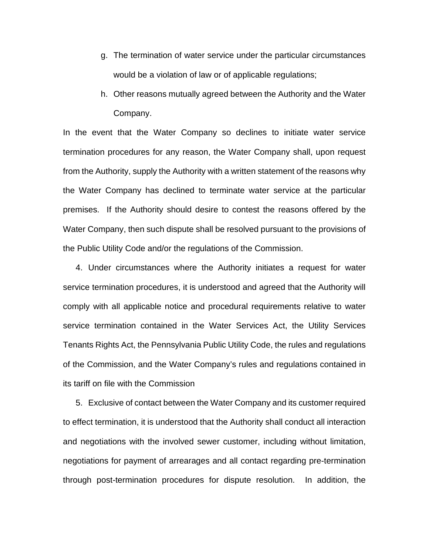- g. The termination of water service under the particular circumstances would be a violation of law or of applicable regulations;
- h. Other reasons mutually agreed between the Authority and the Water Company.

In the event that the Water Company so declines to initiate water service termination procedures for any reason, the Water Company shall, upon request from the Authority, supply the Authority with a written statement of the reasons why the Water Company has declined to terminate water service at the particular premises. If the Authority should desire to contest the reasons offered by the Water Company, then such dispute shall be resolved pursuant to the provisions of the Public Utility Code and/or the regulations of the Commission.

4. Under circumstances where the Authority initiates a request for water service termination procedures, it is understood and agreed that the Authority will comply with all applicable notice and procedural requirements relative to water service termination contained in the Water Services Act, the Utility Services Tenants Rights Act, the Pennsylvania Public Utility Code, the rules and regulations of the Commission, and the Water Company's rules and regulations contained in its tariff on file with the Commission

5. Exclusive of contact between the Water Company and its customer required to effect termination, it is understood that the Authority shall conduct all interaction and negotiations with the involved sewer customer, including without limitation, negotiations for payment of arrearages and all contact regarding pre-termination through post-termination procedures for dispute resolution. In addition, the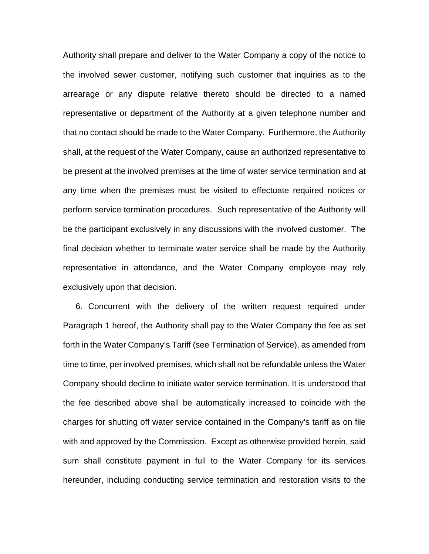Authority shall prepare and deliver to the Water Company a copy of the notice to the involved sewer customer, notifying such customer that inquiries as to the arrearage or any dispute relative thereto should be directed to a named representative or department of the Authority at a given telephone number and that no contact should be made to the Water Company. Furthermore, the Authority shall, at the request of the Water Company, cause an authorized representative to be present at the involved premises at the time of water service termination and at any time when the premises must be visited to effectuate required notices or perform service termination procedures. Such representative of the Authority will be the participant exclusively in any discussions with the involved customer. The final decision whether to terminate water service shall be made by the Authority representative in attendance, and the Water Company employee may rely exclusively upon that decision.

6. Concurrent with the delivery of the written request required under Paragraph 1 hereof, the Authority shall pay to the Water Company the fee as set forth in the Water Company's Tariff (see Termination of Service), as amended from time to time, per involved premises, which shall not be refundable unless the Water Company should decline to initiate water service termination. It is understood that the fee described above shall be automatically increased to coincide with the charges for shutting off water service contained in the Company's tariff as on file with and approved by the Commission. Except as otherwise provided herein, said sum shall constitute payment in full to the Water Company for its services hereunder, including conducting service termination and restoration visits to the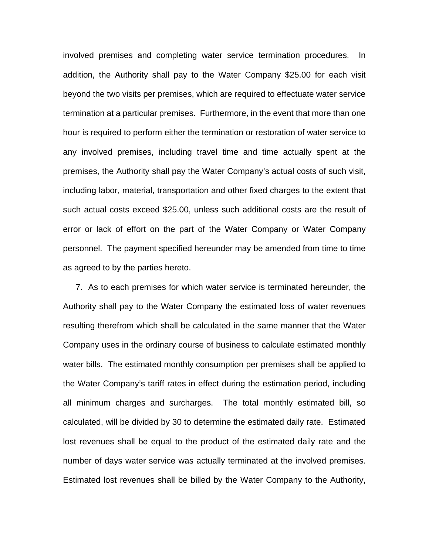involved premises and completing water service termination procedures. In addition, the Authority shall pay to the Water Company \$25.00 for each visit beyond the two visits per premises, which are required to effectuate water service termination at a particular premises. Furthermore, in the event that more than one hour is required to perform either the termination or restoration of water service to any involved premises, including travel time and time actually spent at the premises, the Authority shall pay the Water Company's actual costs of such visit, including labor, material, transportation and other fixed charges to the extent that such actual costs exceed \$25.00, unless such additional costs are the result of error or lack of effort on the part of the Water Company or Water Company personnel. The payment specified hereunder may be amended from time to time as agreed to by the parties hereto.

7. As to each premises for which water service is terminated hereunder, the Authority shall pay to the Water Company the estimated loss of water revenues resulting therefrom which shall be calculated in the same manner that the Water Company uses in the ordinary course of business to calculate estimated monthly water bills. The estimated monthly consumption per premises shall be applied to the Water Company's tariff rates in effect during the estimation period, including all minimum charges and surcharges. The total monthly estimated bill, so calculated, will be divided by 30 to determine the estimated daily rate. Estimated lost revenues shall be equal to the product of the estimated daily rate and the number of days water service was actually terminated at the involved premises. Estimated lost revenues shall be billed by the Water Company to the Authority,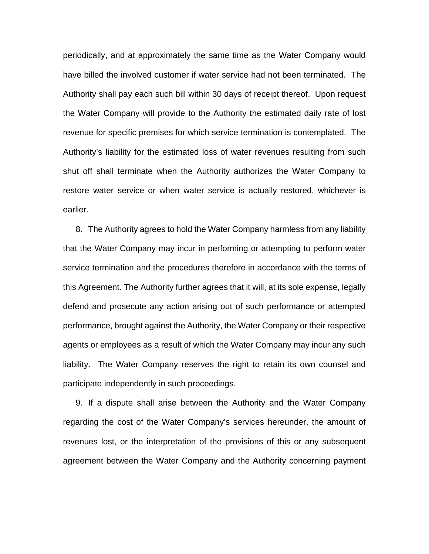periodically, and at approximately the same time as the Water Company would have billed the involved customer if water service had not been terminated. The Authority shall pay each such bill within 30 days of receipt thereof. Upon request the Water Company will provide to the Authority the estimated daily rate of lost revenue for specific premises for which service termination is contemplated. The Authority's liability for the estimated loss of water revenues resulting from such shut off shall terminate when the Authority authorizes the Water Company to restore water service or when water service is actually restored, whichever is earlier.

8. The Authority agrees to hold the Water Company harmless from any liability that the Water Company may incur in performing or attempting to perform water service termination and the procedures therefore in accordance with the terms of this Agreement. The Authority further agrees that it will, at its sole expense, legally defend and prosecute any action arising out of such performance or attempted performance, brought against the Authority, the Water Company or their respective agents or employees as a result of which the Water Company may incur any such liability. The Water Company reserves the right to retain its own counsel and participate independently in such proceedings.

9. If a dispute shall arise between the Authority and the Water Company regarding the cost of the Water Company's services hereunder, the amount of revenues lost, or the interpretation of the provisions of this or any subsequent agreement between the Water Company and the Authority concerning payment